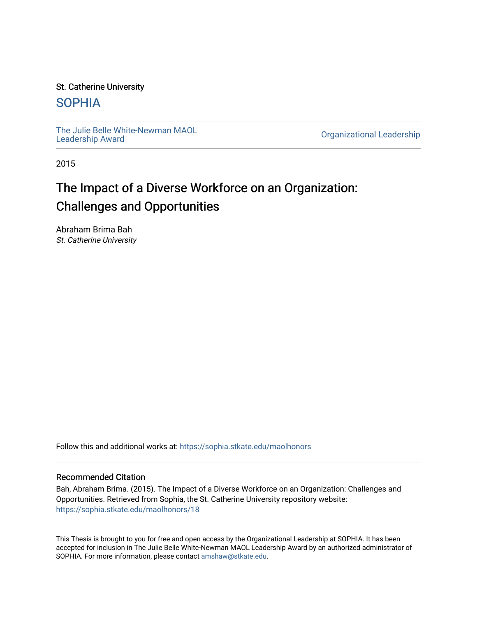#### St. Catherine University

## [SOPHIA](https://sophia.stkate.edu/)

[The Julie Belle White-Newman MAOL](https://sophia.stkate.edu/maolhonors)<br>Leadership Award

**Organizational Leadership** 

2015

# The Impact of a Diverse Workforce on an Organization: Challenges and Opportunities

Abraham Brima Bah St. Catherine University

Follow this and additional works at: [https://sophia.stkate.edu/maolhonors](https://sophia.stkate.edu/maolhonors?utm_source=sophia.stkate.edu%2Fmaolhonors%2F18&utm_medium=PDF&utm_campaign=PDFCoverPages) 

#### Recommended Citation

Bah, Abraham Brima. (2015). The Impact of a Diverse Workforce on an Organization: Challenges and Opportunities. Retrieved from Sophia, the St. Catherine University repository website: [https://sophia.stkate.edu/maolhonors/18](https://sophia.stkate.edu/maolhonors/18?utm_source=sophia.stkate.edu%2Fmaolhonors%2F18&utm_medium=PDF&utm_campaign=PDFCoverPages)

This Thesis is brought to you for free and open access by the Organizational Leadership at SOPHIA. It has been accepted for inclusion in The Julie Belle White-Newman MAOL Leadership Award by an authorized administrator of SOPHIA. For more information, please contact [amshaw@stkate.edu](mailto:amshaw@stkate.edu).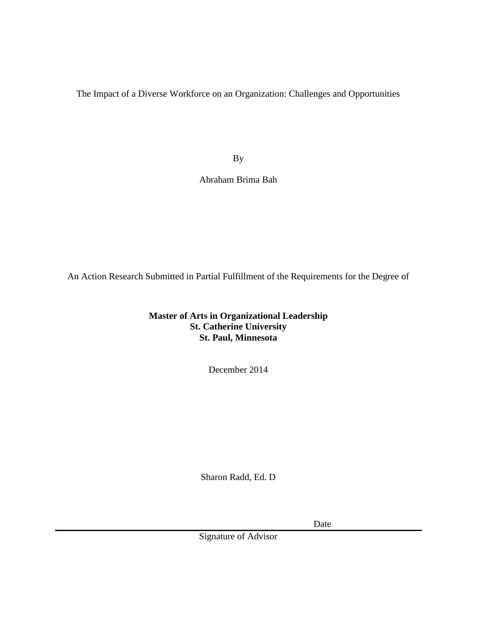The Impact of a Diverse Workforce on an Organization: Challenges and Opportunities

By

Abraham Brima Bah

An Action Research Submitted in Partial Fulfillment of the Requirements for the Degree of

**Master of Arts in Organizational Leadership St. Catherine University St. Paul, Minnesota**

December 2014

Sharon Radd, Ed. D

Date

Signature of Advisor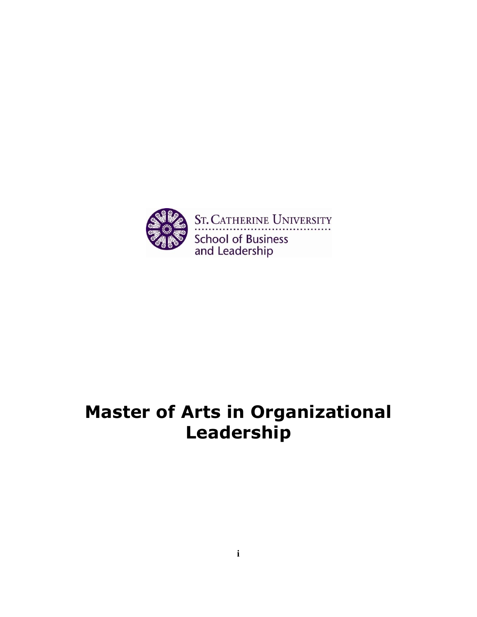

# **Master of Arts in Organizational Leadership**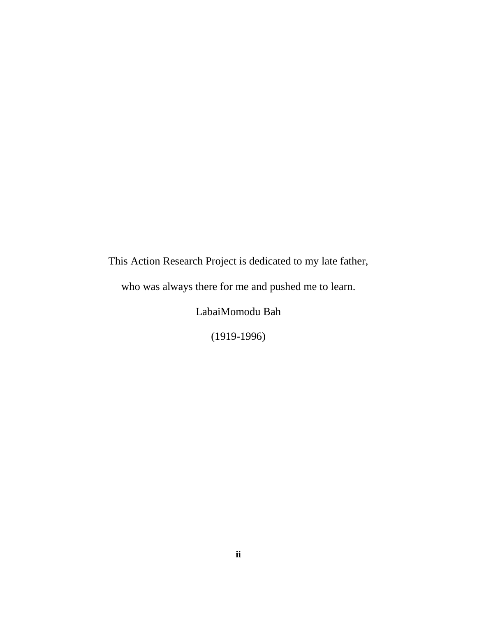This Action Research Project is dedicated to my late father,

who was always there for me and pushed me to learn.

LabaiMomodu Bah

(1919-1996)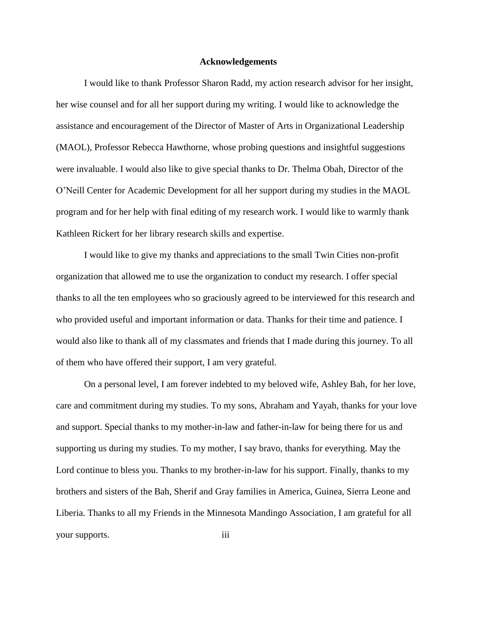#### **Acknowledgements**

I would like to thank Professor Sharon Radd, my action research advisor for her insight, her wise counsel and for all her support during my writing. I would like to acknowledge the assistance and encouragement of the Director of Master of Arts in Organizational Leadership (MAOL), Professor Rebecca Hawthorne, whose probing questions and insightful suggestions were invaluable. I would also like to give special thanks to Dr. Thelma Obah, Director of the O'Neill Center for Academic Development for all her support during my studies in the MAOL program and for her help with final editing of my research work. I would like to warmly thank Kathleen Rickert for her library research skills and expertise.

I would like to give my thanks and appreciations to the small Twin Cities non-profit organization that allowed me to use the organization to conduct my research. I offer special thanks to all the ten employees who so graciously agreed to be interviewed for this research and who provided useful and important information or data. Thanks for their time and patience. I would also like to thank all of my classmates and friends that I made during this journey. To all of them who have offered their support, I am very grateful.

On a personal level, I am forever indebted to my beloved wife, Ashley Bah, for her love, care and commitment during my studies. To my sons, Abraham and Yayah, thanks for your love and support. Special thanks to my mother-in-law and father-in-law for being there for us and supporting us during my studies. To my mother, I say bravo, thanks for everything. May the Lord continue to bless you. Thanks to my brother-in-law for his support. Finally, thanks to my brothers and sisters of the Bah, Sherif and Gray families in America, Guinea, Sierra Leone and Liberia. Thanks to all my Friends in the Minnesota Mandingo Association, I am grateful for all your supports. iii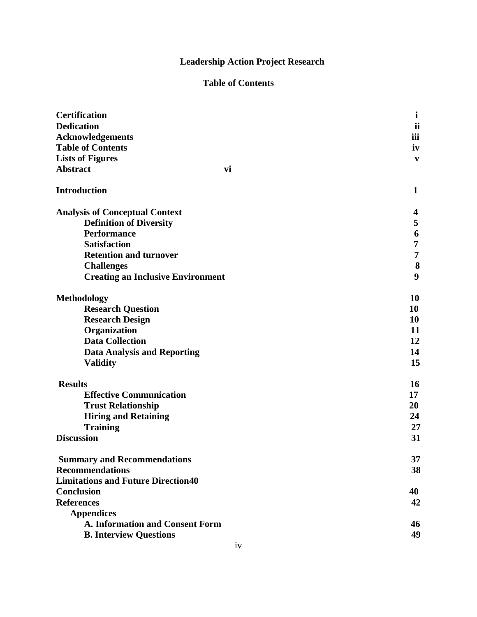## **Leadership Action Project Research**

## **Table of Contents**

| <b>Certification</b>                      | i   |
|-------------------------------------------|-----|
| <b>Dedication</b>                         | ii  |
| <b>Acknowledgements</b>                   | iii |
| <b>Table of Contents</b>                  | iv  |
| <b>Lists of Figures</b>                   | V   |
| <b>Abstract</b><br>vi                     |     |
| <b>Introduction</b>                       | 1   |
| <b>Analysis of Conceptual Context</b>     | 4   |
| <b>Definition of Diversity</b>            | 5   |
| <b>Performance</b>                        | 6   |
| <b>Satisfaction</b>                       | 7   |
| <b>Retention and turnover</b>             | 7   |
| <b>Challenges</b>                         | 8   |
| <b>Creating an Inclusive Environment</b>  | 9   |
| <b>Methodology</b>                        | 10  |
| <b>Research Question</b>                  | 10  |
| <b>Research Design</b>                    | 10  |
| Organization                              | 11  |
| <b>Data Collection</b>                    | 12  |
| <b>Data Analysis and Reporting</b>        | 14  |
| <b>Validity</b>                           | 15  |
| <b>Results</b>                            | 16  |
| <b>Effective Communication</b>            | 17  |
| <b>Trust Relationship</b>                 | 20  |
| <b>Hiring and Retaining</b>               | 24  |
| <b>Training</b>                           | 27  |
| <b>Discussion</b>                         | 31  |
| <b>Summary and Recommendations</b>        | 37  |
| <b>Recommendations</b>                    | 38  |
| <b>Limitations and Future Direction40</b> |     |
| <b>Conclusion</b>                         | 40  |
| <b>References</b>                         | 42  |
| <b>Appendices</b>                         |     |
| A. Information and Consent Form           | 46  |
| <b>B. Interview Questions</b>             | 49  |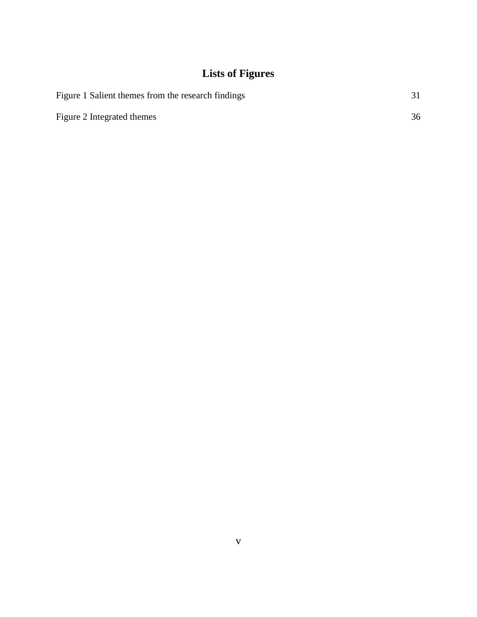## **Lists of Figures**

| Figure 1 Salient themes from the research findings |    |
|----------------------------------------------------|----|
| Figure 2 Integrated themes                         | 36 |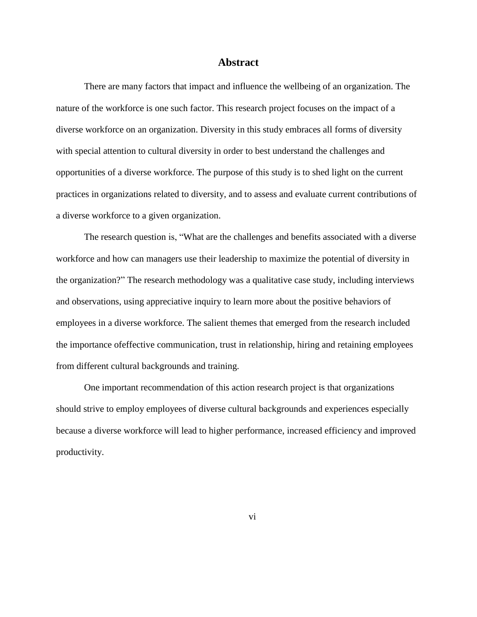#### **Abstract**

There are many factors that impact and influence the wellbeing of an organization. The nature of the workforce is one such factor. This research project focuses on the impact of a diverse workforce on an organization. Diversity in this study embraces all forms of diversity with special attention to cultural diversity in order to best understand the challenges and opportunities of a diverse workforce. The purpose of this study is to shed light on the current practices in organizations related to diversity, and to assess and evaluate current contributions of a diverse workforce to a given organization.

The research question is, "What are the challenges and benefits associated with a diverse workforce and how can managers use their leadership to maximize the potential of diversity in the organization?" The research methodology was a qualitative case study, including interviews and observations, using appreciative inquiry to learn more about the positive behaviors of employees in a diverse workforce. The salient themes that emerged from the research included the importance ofeffective communication, trust in relationship, hiring and retaining employees from different cultural backgrounds and training.

One important recommendation of this action research project is that organizations should strive to employ employees of diverse cultural backgrounds and experiences especially because a diverse workforce will lead to higher performance, increased efficiency and improved productivity.

vi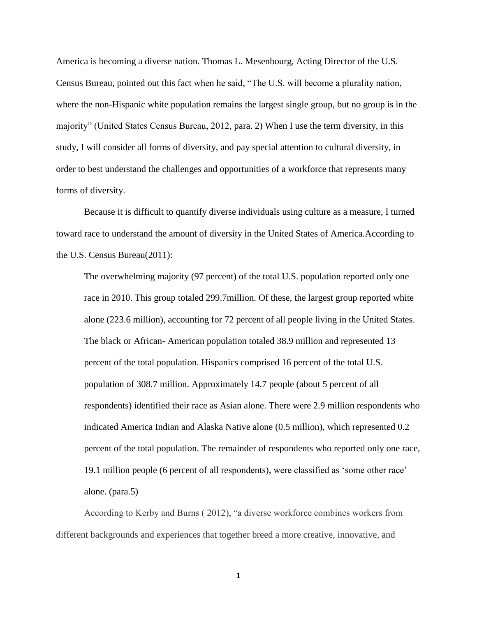America is becoming a diverse nation. Thomas L. Mesenbourg, Acting Director of the U.S. Census Bureau, pointed out this fact when he said, "The U.S. will become a plurality nation, where the non-Hispanic white population remains the largest single group, but no group is in the majority" (United States Census Bureau, 2012, para. 2) When I use the term diversity, in this study, I will consider all forms of diversity, and pay special attention to cultural diversity, in order to best understand the challenges and opportunities of a workforce that represents many forms of diversity.

Because it is difficult to quantify diverse individuals using culture as a measure, I turned toward race to understand the amount of diversity in the United States of America.According to the U.S. Census Bureau(2011):

The overwhelming majority (97 percent) of the total U.S. population reported only one race in 2010. This group totaled 299.7million. Of these, the largest group reported white alone (223.6 million), accounting for 72 percent of all people living in the United States. The black or African- American population totaled 38.9 million and represented 13 percent of the total population. Hispanics comprised 16 percent of the total U.S. population of 308.7 million. Approximately 14.7 people (about 5 percent of all respondents) identified their race as Asian alone. There were 2.9 million respondents who indicated America Indian and Alaska Native alone (0.5 million), which represented 0.2 percent of the total population. The remainder of respondents who reported only one race, 19.1 million people (6 percent of all respondents), were classified as 'some other race' alone. (para.5)

According to Kerby and Burns ( 2012), "a diverse workforce combines workers from different backgrounds and experiences that together breed a more creative, innovative, and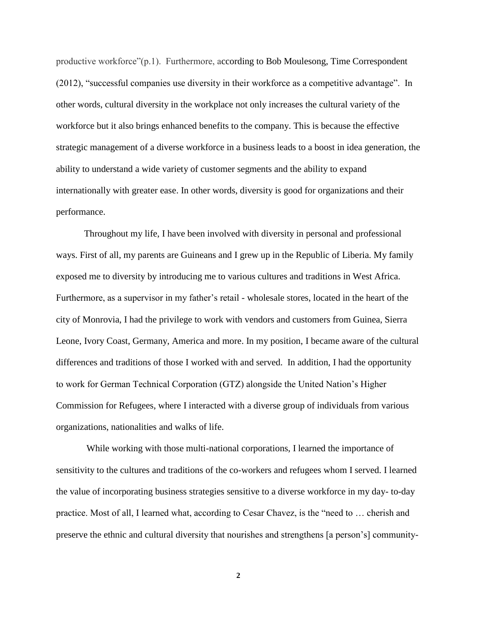productive workforce"(p.1). Furthermore, according to Bob Moulesong, Time Correspondent (2012), "successful companies use diversity in their workforce as a competitive advantage". In other words, cultural diversity in the workplace not only increases the cultural variety of the workforce but it also brings enhanced benefits to the company. This is because the effective strategic management of a diverse workforce in a business leads to a boost in idea generation, the ability to understand a wide variety of customer segments and the ability to expand internationally with greater ease. In other words, diversity is good for organizations and their performance.

Throughout my life, I have been involved with diversity in personal and professional ways. First of all, my parents are Guineans and I grew up in the Republic of Liberia. My family exposed me to diversity by introducing me to various cultures and traditions in West Africa. Furthermore, as a supervisor in my father's retail - wholesale stores, located in the heart of the city of Monrovia, I had the privilege to work with vendors and customers from Guinea, Sierra Leone, Ivory Coast, Germany, America and more. In my position, I became aware of the cultural differences and traditions of those I worked with and served. In addition, I had the opportunity to work for German Technical Corporation (GTZ) alongside the United Nation's Higher Commission for Refugees, where I interacted with a diverse group of individuals from various organizations, nationalities and walks of life.

While working with those multi-national corporations, I learned the importance of sensitivity to the cultures and traditions of the co-workers and refugees whom I served. I learned the value of incorporating business strategies sensitive to a diverse workforce in my day- to-day practice. Most of all, I learned what, according to Cesar Chavez, is the "need to … cherish and preserve the ethnic and cultural diversity that nourishes and strengthens [a person's] community-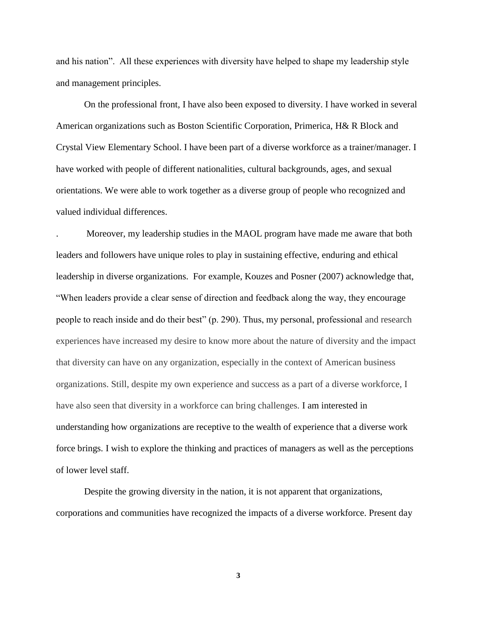and his nation". All these experiences with diversity have helped to shape my leadership style and management principles.

On the professional front, I have also been exposed to diversity. I have worked in several American organizations such as Boston Scientific Corporation, Primerica, H& R Block and Crystal View Elementary School. I have been part of a diverse workforce as a trainer/manager. I have worked with people of different nationalities, cultural backgrounds, ages, and sexual orientations. We were able to work together as a diverse group of people who recognized and valued individual differences.

. Moreover, my leadership studies in the MAOL program have made me aware that both leaders and followers have unique roles to play in sustaining effective, enduring and ethical leadership in diverse organizations. For example, Kouzes and Posner (2007) acknowledge that, "When leaders provide a clear sense of direction and feedback along the way, they encourage people to reach inside and do their best" (p. 290). Thus, my personal, professional and research experiences have increased my desire to know more about the nature of diversity and the impact that diversity can have on any organization, especially in the context of American business organizations. Still, despite my own experience and success as a part of a diverse workforce, I have also seen that diversity in a workforce can bring challenges. I am interested in understanding how organizations are receptive to the wealth of experience that a diverse work force brings. I wish to explore the thinking and practices of managers as well as the perceptions of lower level staff.

Despite the growing diversity in the nation, it is not apparent that organizations, corporations and communities have recognized the impacts of a diverse workforce. Present day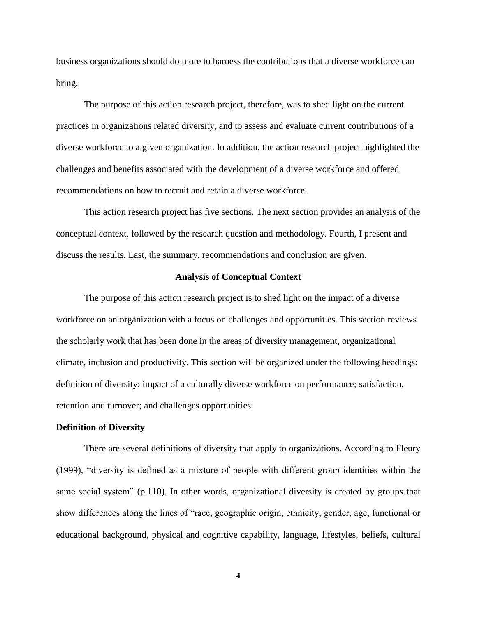business organizations should do more to harness the contributions that a diverse workforce can bring.

The purpose of this action research project, therefore, was to shed light on the current practices in organizations related diversity, and to assess and evaluate current contributions of a diverse workforce to a given organization. In addition, the action research project highlighted the challenges and benefits associated with the development of a diverse workforce and offered recommendations on how to recruit and retain a diverse workforce.

This action research project has five sections. The next section provides an analysis of the conceptual context, followed by the research question and methodology. Fourth, I present and discuss the results. Last, the summary, recommendations and conclusion are given.

#### **Analysis of Conceptual Context**

The purpose of this action research project is to shed light on the impact of a diverse workforce on an organization with a focus on challenges and opportunities. This section reviews the scholarly work that has been done in the areas of diversity management, organizational climate, inclusion and productivity. This section will be organized under the following headings: definition of diversity; impact of a culturally diverse workforce on performance; satisfaction, retention and turnover; and challenges opportunities.

#### **Definition of Diversity**

There are several definitions of diversity that apply to organizations. According to Fleury (1999), "diversity is defined as a mixture of people with different group identities within the same social system" (p.110). In other words, organizational diversity is created by groups that show differences along the lines of "race, geographic origin, ethnicity, gender, age, functional or educational background, physical and cognitive capability, language, lifestyles, beliefs, cultural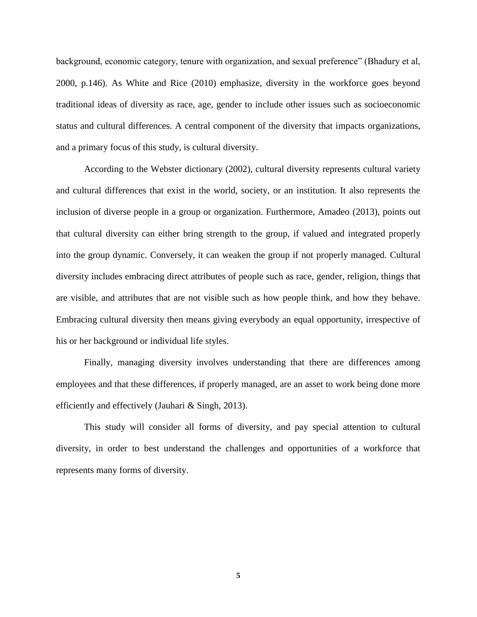background, economic category, tenure with organization, and sexual preference" (Bhadury et al, 2000, p.146). As White and Rice (2010) emphasize, diversity in the workforce goes beyond traditional ideas of diversity as race, age, gender to include other issues such as socioeconomic status and cultural differences. A central component of the diversity that impacts organizations, and a primary focus of this study, is cultural diversity.

According to the Webster dictionary (2002), cultural diversity represents cultural variety and cultural differences that exist in the world, society, or an institution. It also represents the inclusion of diverse people in a group or organization. Furthermore, Amadeo (2013), points out that cultural diversity can either bring strength to the group, if valued and integrated properly into the group dynamic. Conversely, it can weaken the group if not properly managed. Cultural diversity includes embracing direct attributes of people such as race, gender, religion, things that are visible, and attributes that are not visible such as how people think, and how they behave. Embracing cultural diversity then means giving everybody an equal opportunity, irrespective of his or her background or individual life styles.

Finally, managing diversity involves understanding that there are differences among employees and that these differences, if properly managed, are an asset to work being done more efficiently and effectively (Jauhari & Singh, 2013).

This study will consider all forms of diversity, and pay special attention to cultural diversity, in order to best understand the challenges and opportunities of a workforce that represents many forms of diversity.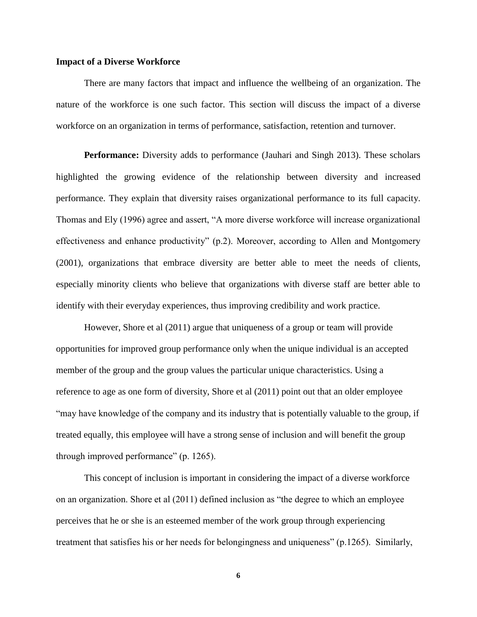#### **Impact of a Diverse Workforce**

There are many factors that impact and influence the wellbeing of an organization. The nature of the workforce is one such factor. This section will discuss the impact of a diverse workforce on an organization in terms of performance, satisfaction, retention and turnover.

**Performance:** Diversity adds to performance (Jauhari and Singh 2013). These scholars highlighted the growing evidence of the relationship between diversity and increased performance. They explain that diversity raises organizational performance to its full capacity. Thomas and Ely (1996) agree and assert, "A more diverse workforce will increase organizational effectiveness and enhance productivity" (p.2). Moreover, according to Allen and Montgomery (2001), organizations that embrace diversity are better able to meet the needs of clients, especially minority clients who believe that organizations with diverse staff are better able to identify with their everyday experiences, thus improving credibility and work practice.

However, Shore et al (2011) argue that uniqueness of a group or team will provide opportunities for improved group performance only when the unique individual is an accepted member of the group and the group values the particular unique characteristics. Using a reference to age as one form of diversity, Shore et al (2011) point out that an older employee "may have knowledge of the company and its industry that is potentially valuable to the group, if treated equally, this employee will have a strong sense of inclusion and will benefit the group through improved performance" (p. 1265).

This concept of inclusion is important in considering the impact of a diverse workforce on an organization. Shore et al (2011) defined inclusion as "the degree to which an employee perceives that he or she is an esteemed member of the work group through experiencing treatment that satisfies his or her needs for belongingness and uniqueness" (p.1265). Similarly,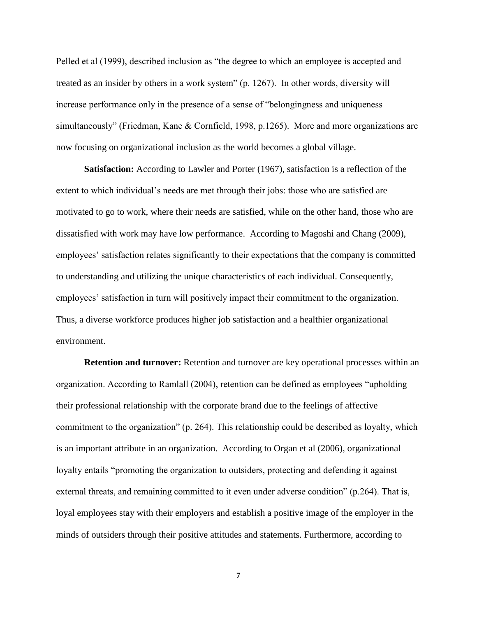Pelled et al (1999), described inclusion as "the degree to which an employee is accepted and treated as an insider by others in a work system" (p. 1267). In other words, diversity will increase performance only in the presence of a sense of "belongingness and uniqueness simultaneously" (Friedman, Kane & Cornfield, 1998, p.1265). More and more organizations are now focusing on organizational inclusion as the world becomes a global village.

**Satisfaction:** According to Lawler and Porter (1967), satisfaction is a reflection of the extent to which individual's needs are met through their jobs: those who are satisfied are motivated to go to work, where their needs are satisfied, while on the other hand, those who are dissatisfied with work may have low performance. According to Magoshi and Chang (2009), employees' satisfaction relates significantly to their expectations that the company is committed to understanding and utilizing the unique characteristics of each individual. Consequently, employees' satisfaction in turn will positively impact their commitment to the organization. Thus, a diverse workforce produces higher job satisfaction and a healthier organizational environment.

**Retention and turnover:** Retention and turnover are key operational processes within an organization. According to Ramlall (2004), retention can be defined as employees "upholding their professional relationship with the corporate brand due to the feelings of affective commitment to the organization" (p. 264). This relationship could be described as loyalty, which is an important attribute in an organization. According to Organ et al (2006), organizational loyalty entails "promoting the organization to outsiders, protecting and defending it against external threats, and remaining committed to it even under adverse condition" (p.264). That is, loyal employees stay with their employers and establish a positive image of the employer in the minds of outsiders through their positive attitudes and statements. Furthermore, according to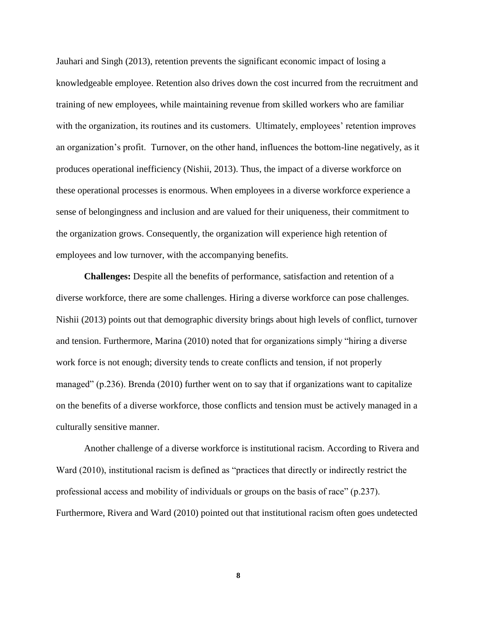Jauhari and Singh (2013), retention prevents the significant economic impact of losing a knowledgeable employee. Retention also drives down the cost incurred from the recruitment and training of new employees, while maintaining revenue from skilled workers who are familiar with the organization, its routines and its customers. Ultimately, employees' retention improves an organization's profit. Turnover, on the other hand, influences the bottom-line negatively, as it produces operational inefficiency (Nishii, 2013). Thus, the impact of a diverse workforce on these operational processes is enormous. When employees in a diverse workforce experience a sense of belongingness and inclusion and are valued for their uniqueness, their commitment to the organization grows. Consequently, the organization will experience high retention of employees and low turnover, with the accompanying benefits.

**Challenges:** Despite all the benefits of performance, satisfaction and retention of a diverse workforce, there are some challenges. Hiring a diverse workforce can pose challenges. Nishii (2013) points out that demographic diversity brings about high levels of conflict, turnover and tension. Furthermore, Marina (2010) noted that for organizations simply "hiring a diverse work force is not enough; diversity tends to create conflicts and tension, if not properly managed" (p.236). Brenda (2010) further went on to say that if organizations want to capitalize on the benefits of a diverse workforce, those conflicts and tension must be actively managed in a culturally sensitive manner.

Another challenge of a diverse workforce is institutional racism. According to Rivera and Ward (2010), institutional racism is defined as "practices that directly or indirectly restrict the professional access and mobility of individuals or groups on the basis of race" (p.237). Furthermore, Rivera and Ward (2010) pointed out that institutional racism often goes undetected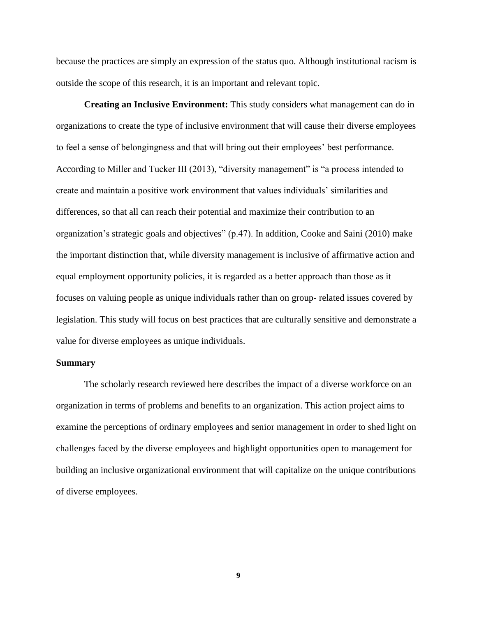because the practices are simply an expression of the status quo. Although institutional racism is outside the scope of this research, it is an important and relevant topic.

**Creating an Inclusive Environment:** This study considers what management can do in organizations to create the type of inclusive environment that will cause their diverse employees to feel a sense of belongingness and that will bring out their employees' best performance. According to Miller and Tucker III (2013), "diversity management" is "a process intended to create and maintain a positive work environment that values individuals' similarities and differences, so that all can reach their potential and maximize their contribution to an organization's strategic goals and objectives" (p.47). In addition, Cooke and Saini (2010) make the important distinction that, while diversity management is inclusive of affirmative action and equal employment opportunity policies, it is regarded as a better approach than those as it focuses on valuing people as unique individuals rather than on group- related issues covered by legislation. This study will focus on best practices that are culturally sensitive and demonstrate a value for diverse employees as unique individuals.

#### **Summary**

The scholarly research reviewed here describes the impact of a diverse workforce on an organization in terms of problems and benefits to an organization. This action project aims to examine the perceptions of ordinary employees and senior management in order to shed light on challenges faced by the diverse employees and highlight opportunities open to management for building an inclusive organizational environment that will capitalize on the unique contributions of diverse employees.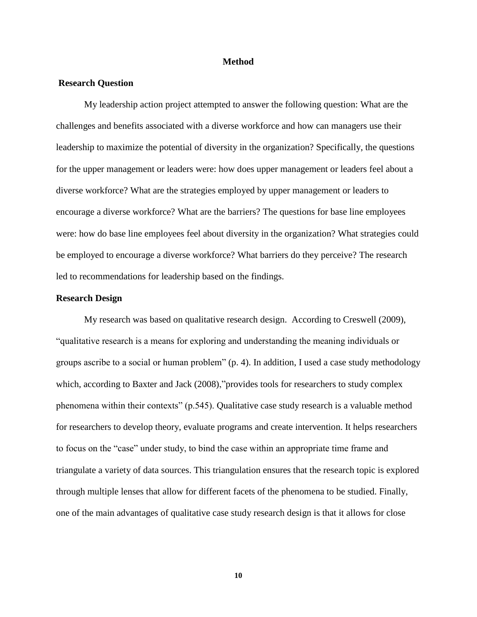#### **Method**

#### **Research Question**

My leadership action project attempted to answer the following question: What are the challenges and benefits associated with a diverse workforce and how can managers use their leadership to maximize the potential of diversity in the organization? Specifically, the questions for the upper management or leaders were: how does upper management or leaders feel about a diverse workforce? What are the strategies employed by upper management or leaders to encourage a diverse workforce? What are the barriers? The questions for base line employees were: how do base line employees feel about diversity in the organization? What strategies could be employed to encourage a diverse workforce? What barriers do they perceive? The research led to recommendations for leadership based on the findings.

#### **Research Design**

My research was based on qualitative research design. According to Creswell (2009), "qualitative research is a means for exploring and understanding the meaning individuals or groups ascribe to a social or human problem" (p. 4). In addition, I used a case study methodology which, according to Baxter and Jack (2008),"provides tools for researchers to study complex phenomena within their contexts" (p.545). Qualitative case study research is a valuable method for researchers to develop theory, evaluate programs and create intervention. It helps researchers to focus on the "case" under study, to bind the case within an appropriate time frame and triangulate a variety of data sources. This triangulation ensures that the research topic is explored through multiple lenses that allow for different facets of the phenomena to be studied. Finally, one of the main advantages of qualitative case study research design is that it allows for close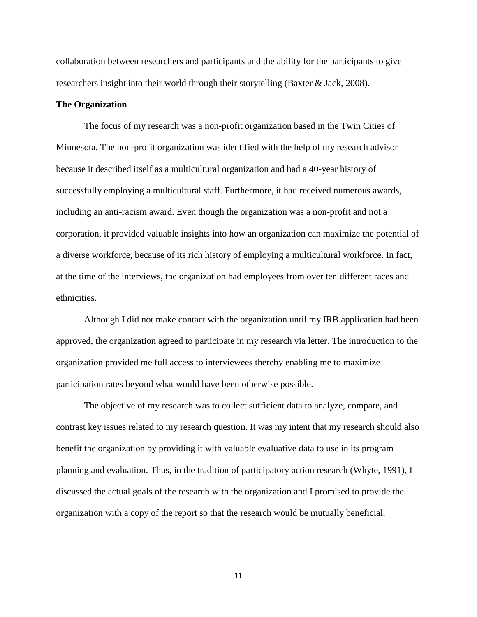collaboration between researchers and participants and the ability for the participants to give researchers insight into their world through their storytelling (Baxter & Jack, 2008).

#### **The Organization**

The focus of my research was a non-profit organization based in the Twin Cities of Minnesota. The non-profit organization was identified with the help of my research advisor because it described itself as a multicultural organization and had a 40-year history of successfully employing a multicultural staff. Furthermore, it had received numerous awards, including an anti-racism award. Even though the organization was a non-profit and not a corporation, it provided valuable insights into how an organization can maximize the potential of a diverse workforce, because of its rich history of employing a multicultural workforce. In fact, at the time of the interviews, the organization had employees from over ten different races and ethnicities.

Although I did not make contact with the organization until my IRB application had been approved, the organization agreed to participate in my research via letter. The introduction to the organization provided me full access to interviewees thereby enabling me to maximize participation rates beyond what would have been otherwise possible.

The objective of my research was to collect sufficient data to analyze, compare, and contrast key issues related to my research question. It was my intent that my research should also benefit the organization by providing it with valuable evaluative data to use in its program planning and evaluation. Thus, in the tradition of participatory action research (Whyte, 1991), I discussed the actual goals of the research with the organization and I promised to provide the organization with a copy of the report so that the research would be mutually beneficial.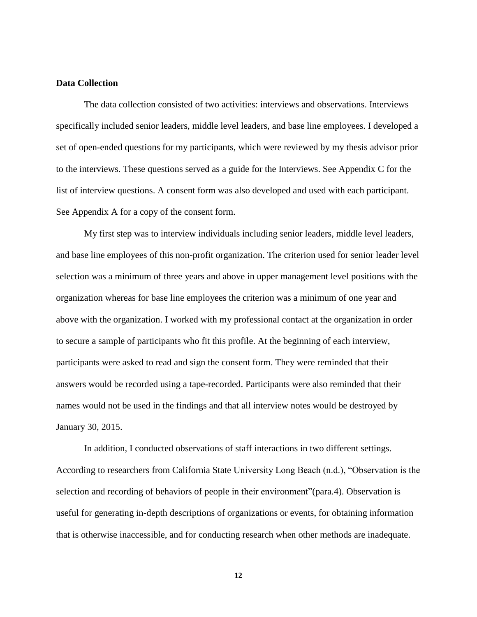#### **Data Collection**

The data collection consisted of two activities: interviews and observations. Interviews specifically included senior leaders, middle level leaders, and base line employees. I developed a set of open-ended questions for my participants, which were reviewed by my thesis advisor prior to the interviews. These questions served as a guide for the Interviews. See Appendix C for the list of interview questions. A consent form was also developed and used with each participant. See Appendix A for a copy of the consent form.

My first step was to interview individuals including senior leaders, middle level leaders, and base line employees of this non-profit organization. The criterion used for senior leader level selection was a minimum of three years and above in upper management level positions with the organization whereas for base line employees the criterion was a minimum of one year and above with the organization. I worked with my professional contact at the organization in order to secure a sample of participants who fit this profile. At the beginning of each interview, participants were asked to read and sign the consent form. They were reminded that their answers would be recorded using a tape-recorded. Participants were also reminded that their names would not be used in the findings and that all interview notes would be destroyed by January 30, 2015.

In addition, I conducted observations of staff interactions in two different settings. According to researchers from California State University Long Beach (n.d.), "Observation is the selection and recording of behaviors of people in their environment"(para.4). Observation is useful for generating in-depth descriptions of organizations or events, for obtaining information that is otherwise inaccessible, and for conducting research when other methods are inadequate.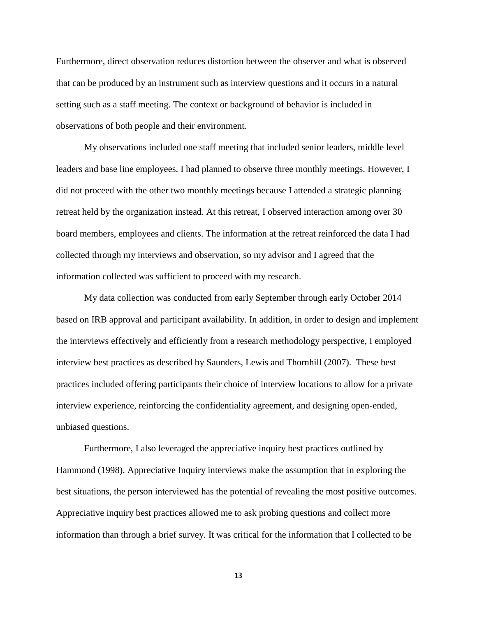Furthermore, direct observation reduces distortion between the observer and what is observed that can be produced by an instrument such as interview questions and it occurs in a natural setting such as a staff meeting. The context or background of behavior is included in observations of both people and their environment.

My observations included one staff meeting that included senior leaders, middle level leaders and base line employees. I had planned to observe three monthly meetings. However, I did not proceed with the other two monthly meetings because I attended a strategic planning retreat held by the organization instead. At this retreat, I observed interaction among over 30 board members, employees and clients. The information at the retreat reinforced the data I had collected through my interviews and observation, so my advisor and I agreed that the information collected was sufficient to proceed with my research.

My data collection was conducted from early September through early October 2014 based on IRB approval and participant availability. In addition, in order to design and implement the interviews effectively and efficiently from a research methodology perspective, I employed interview best practices as described by Saunders, Lewis and Thornhill (2007). These best practices included offering participants their choice of interview locations to allow for a private interview experience, reinforcing the confidentiality agreement, and designing open-ended, unbiased questions.

Furthermore, I also leveraged the appreciative inquiry best practices outlined by Hammond (1998). Appreciative Inquiry interviews make the assumption that in exploring the best situations, the person interviewed has the potential of revealing the most positive outcomes. Appreciative inquiry best practices allowed me to ask probing questions and collect more information than through a brief survey. It was critical for the information that I collected to be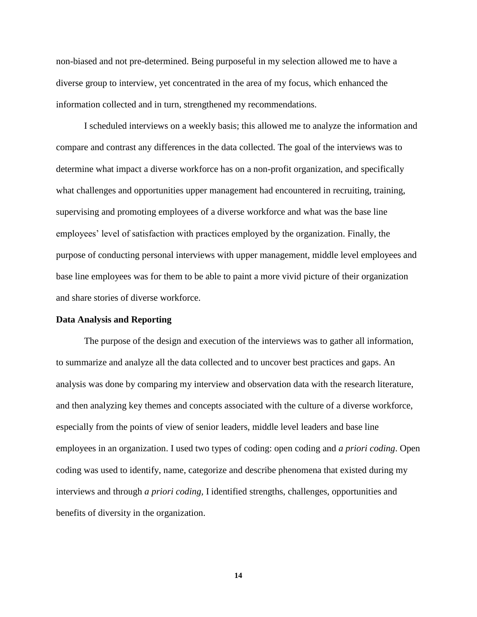non-biased and not pre-determined. Being purposeful in my selection allowed me to have a diverse group to interview, yet concentrated in the area of my focus, which enhanced the information collected and in turn, strengthened my recommendations.

I scheduled interviews on a weekly basis; this allowed me to analyze the information and compare and contrast any differences in the data collected. The goal of the interviews was to determine what impact a diverse workforce has on a non-profit organization, and specifically what challenges and opportunities upper management had encountered in recruiting, training, supervising and promoting employees of a diverse workforce and what was the base line employees' level of satisfaction with practices employed by the organization. Finally, the purpose of conducting personal interviews with upper management, middle level employees and base line employees was for them to be able to paint a more vivid picture of their organization and share stories of diverse workforce.

#### **Data Analysis and Reporting**

The purpose of the design and execution of the interviews was to gather all information, to summarize and analyze all the data collected and to uncover best practices and gaps. An analysis was done by comparing my interview and observation data with the research literature, and then analyzing key themes and concepts associated with the culture of a diverse workforce, especially from the points of view of senior leaders, middle level leaders and base line employees in an organization. I used two types of coding: open coding and *a priori coding*. Open coding was used to identify, name, categorize and describe phenomena that existed during my interviews and through *a priori coding,* I identified strengths, challenges, opportunities and benefits of diversity in the organization.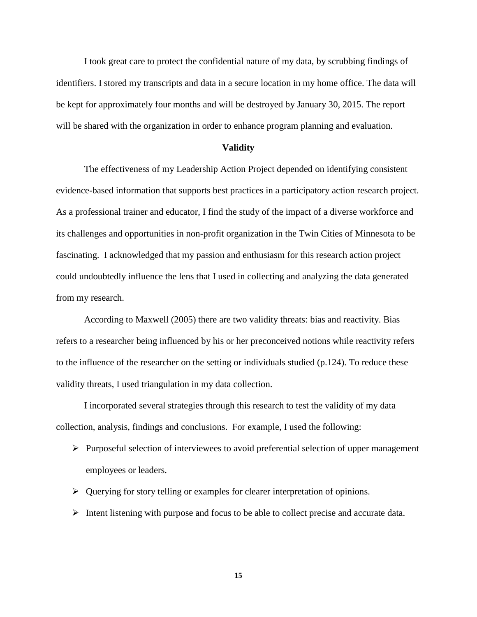I took great care to protect the confidential nature of my data, by scrubbing findings of identifiers. I stored my transcripts and data in a secure location in my home office. The data will be kept for approximately four months and will be destroyed by January 30, 2015. The report will be shared with the organization in order to enhance program planning and evaluation.

#### **Validity**

The effectiveness of my Leadership Action Project depended on identifying consistent evidence-based information that supports best practices in a participatory action research project. As a professional trainer and educator, I find the study of the impact of a diverse workforce and its challenges and opportunities in non-profit organization in the Twin Cities of Minnesota to be fascinating. I acknowledged that my passion and enthusiasm for this research action project could undoubtedly influence the lens that I used in collecting and analyzing the data generated from my research.

According to Maxwell (2005) there are two validity threats: bias and reactivity. Bias refers to a researcher being influenced by his or her preconceived notions while reactivity refers to the influence of the researcher on the setting or individuals studied (p.124). To reduce these validity threats, I used triangulation in my data collection.

I incorporated several strategies through this research to test the validity of my data collection, analysis, findings and conclusions. For example, I used the following:

- $\triangleright$  Purposeful selection of interviewees to avoid preferential selection of upper management employees or leaders.
- Querying for story telling or examples for clearer interpretation of opinions.
- $\triangleright$  Intent listening with purpose and focus to be able to collect precise and accurate data.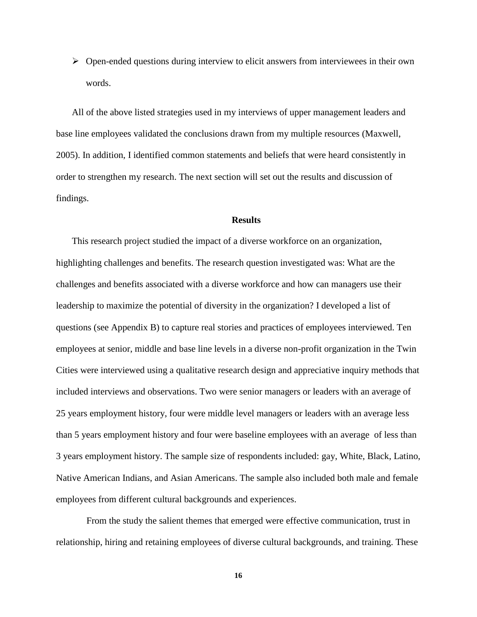$\triangleright$  Open-ended questions during interview to elicit answers from interviewees in their own words.

All of the above listed strategies used in my interviews of upper management leaders and base line employees validated the conclusions drawn from my multiple resources (Maxwell, 2005). In addition, I identified common statements and beliefs that were heard consistently in order to strengthen my research. The next section will set out the results and discussion of findings.

#### **Results**

This research project studied the impact of a diverse workforce on an organization, highlighting challenges and benefits. The research question investigated was: What are the challenges and benefits associated with a diverse workforce and how can managers use their leadership to maximize the potential of diversity in the organization? I developed a list of questions (see Appendix B) to capture real stories and practices of employees interviewed. Ten employees at senior, middle and base line levels in a diverse non-profit organization in the Twin Cities were interviewed using a qualitative research design and appreciative inquiry methods that included interviews and observations. Two were senior managers or leaders with an average of 25 years employment history, four were middle level managers or leaders with an average less than 5 years employment history and four were baseline employees with an average of less than 3 years employment history. The sample size of respondents included: gay, White, Black, Latino, Native American Indians, and Asian Americans. The sample also included both male and female employees from different cultural backgrounds and experiences.

From the study the salient themes that emerged were effective communication, trust in relationship, hiring and retaining employees of diverse cultural backgrounds, and training. These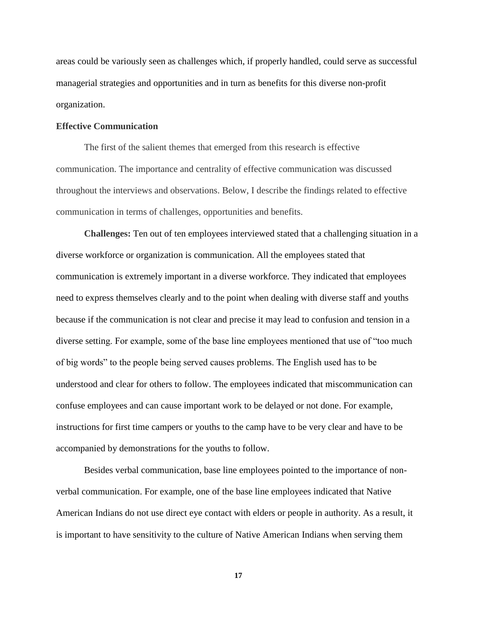areas could be variously seen as challenges which, if properly handled, could serve as successful managerial strategies and opportunities and in turn as benefits for this diverse non-profit organization.

#### **Effective Communication**

The first of the salient themes that emerged from this research is effective communication. The importance and centrality of effective communication was discussed throughout the interviews and observations. Below, I describe the findings related to effective communication in terms of challenges, opportunities and benefits.

**Challenges:** Ten out of ten employees interviewed stated that a challenging situation in a diverse workforce or organization is communication. All the employees stated that communication is extremely important in a diverse workforce. They indicated that employees need to express themselves clearly and to the point when dealing with diverse staff and youths because if the communication is not clear and precise it may lead to confusion and tension in a diverse setting. For example, some of the base line employees mentioned that use of "too much of big words" to the people being served causes problems. The English used has to be understood and clear for others to follow. The employees indicated that miscommunication can confuse employees and can cause important work to be delayed or not done. For example, instructions for first time campers or youths to the camp have to be very clear and have to be accompanied by demonstrations for the youths to follow.

Besides verbal communication, base line employees pointed to the importance of nonverbal communication. For example, one of the base line employees indicated that Native American Indians do not use direct eye contact with elders or people in authority. As a result, it is important to have sensitivity to the culture of Native American Indians when serving them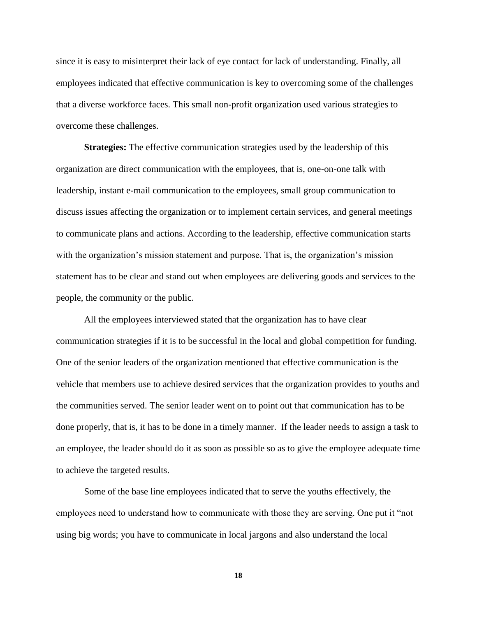since it is easy to misinterpret their lack of eye contact for lack of understanding. Finally, all employees indicated that effective communication is key to overcoming some of the challenges that a diverse workforce faces. This small non-profit organization used various strategies to overcome these challenges.

**Strategies:** The effective communication strategies used by the leadership of this organization are direct communication with the employees, that is, one-on-one talk with leadership, instant e-mail communication to the employees, small group communication to discuss issues affecting the organization or to implement certain services, and general meetings to communicate plans and actions. According to the leadership, effective communication starts with the organization's mission statement and purpose. That is, the organization's mission statement has to be clear and stand out when employees are delivering goods and services to the people, the community or the public.

All the employees interviewed stated that the organization has to have clear communication strategies if it is to be successful in the local and global competition for funding. One of the senior leaders of the organization mentioned that effective communication is the vehicle that members use to achieve desired services that the organization provides to youths and the communities served. The senior leader went on to point out that communication has to be done properly, that is, it has to be done in a timely manner. If the leader needs to assign a task to an employee, the leader should do it as soon as possible so as to give the employee adequate time to achieve the targeted results.

Some of the base line employees indicated that to serve the youths effectively, the employees need to understand how to communicate with those they are serving. One put it "not using big words; you have to communicate in local jargons and also understand the local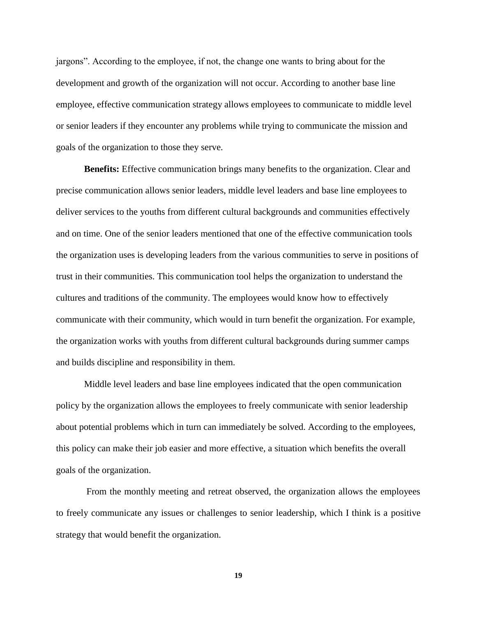jargons". According to the employee, if not, the change one wants to bring about for the development and growth of the organization will not occur. According to another base line employee, effective communication strategy allows employees to communicate to middle level or senior leaders if they encounter any problems while trying to communicate the mission and goals of the organization to those they serve.

**Benefits:** Effective communication brings many benefits to the organization. Clear and precise communication allows senior leaders, middle level leaders and base line employees to deliver services to the youths from different cultural backgrounds and communities effectively and on time. One of the senior leaders mentioned that one of the effective communication tools the organization uses is developing leaders from the various communities to serve in positions of trust in their communities. This communication tool helps the organization to understand the cultures and traditions of the community. The employees would know how to effectively communicate with their community, which would in turn benefit the organization. For example, the organization works with youths from different cultural backgrounds during summer camps and builds discipline and responsibility in them.

Middle level leaders and base line employees indicated that the open communication policy by the organization allows the employees to freely communicate with senior leadership about potential problems which in turn can immediately be solved. According to the employees, this policy can make their job easier and more effective, a situation which benefits the overall goals of the organization.

From the monthly meeting and retreat observed, the organization allows the employees to freely communicate any issues or challenges to senior leadership, which I think is a positive strategy that would benefit the organization.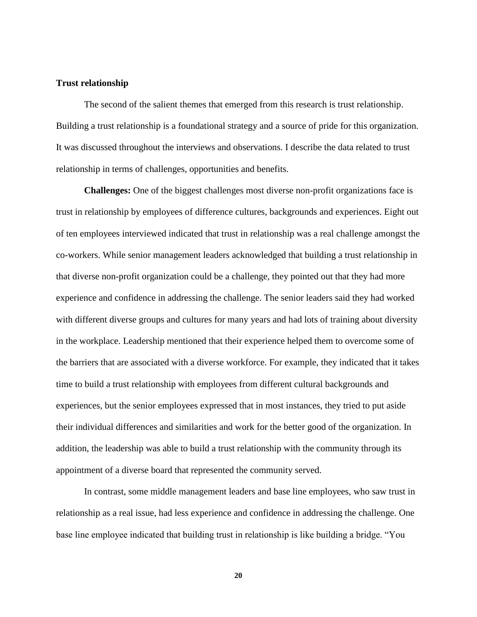#### **Trust relationship**

The second of the salient themes that emerged from this research is trust relationship. Building a trust relationship is a foundational strategy and a source of pride for this organization. It was discussed throughout the interviews and observations. I describe the data related to trust relationship in terms of challenges, opportunities and benefits.

**Challenges:** One of the biggest challenges most diverse non-profit organizations face is trust in relationship by employees of difference cultures, backgrounds and experiences. Eight out of ten employees interviewed indicated that trust in relationship was a real challenge amongst the co-workers. While senior management leaders acknowledged that building a trust relationship in that diverse non-profit organization could be a challenge, they pointed out that they had more experience and confidence in addressing the challenge. The senior leaders said they had worked with different diverse groups and cultures for many years and had lots of training about diversity in the workplace. Leadership mentioned that their experience helped them to overcome some of the barriers that are associated with a diverse workforce. For example, they indicated that it takes time to build a trust relationship with employees from different cultural backgrounds and experiences, but the senior employees expressed that in most instances, they tried to put aside their individual differences and similarities and work for the better good of the organization. In addition, the leadership was able to build a trust relationship with the community through its appointment of a diverse board that represented the community served.

In contrast, some middle management leaders and base line employees, who saw trust in relationship as a real issue, had less experience and confidence in addressing the challenge. One base line employee indicated that building trust in relationship is like building a bridge. "You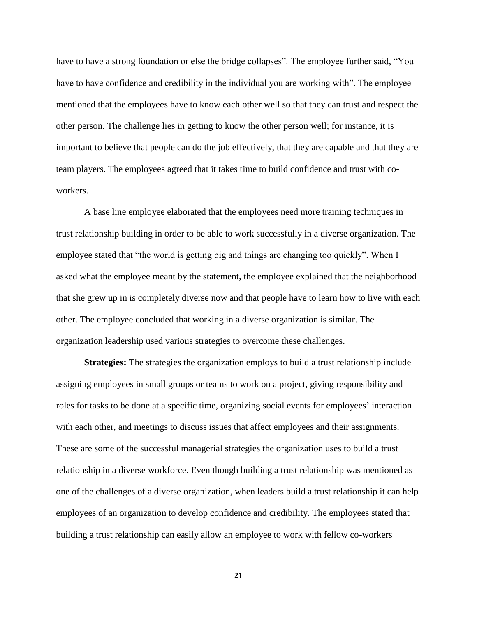have to have a strong foundation or else the bridge collapses". The employee further said, "You have to have confidence and credibility in the individual you are working with". The employee mentioned that the employees have to know each other well so that they can trust and respect the other person. The challenge lies in getting to know the other person well; for instance, it is important to believe that people can do the job effectively, that they are capable and that they are team players. The employees agreed that it takes time to build confidence and trust with coworkers.

A base line employee elaborated that the employees need more training techniques in trust relationship building in order to be able to work successfully in a diverse organization. The employee stated that "the world is getting big and things are changing too quickly". When I asked what the employee meant by the statement, the employee explained that the neighborhood that she grew up in is completely diverse now and that people have to learn how to live with each other. The employee concluded that working in a diverse organization is similar. The organization leadership used various strategies to overcome these challenges.

**Strategies:** The strategies the organization employs to build a trust relationship include assigning employees in small groups or teams to work on a project, giving responsibility and roles for tasks to be done at a specific time, organizing social events for employees' interaction with each other, and meetings to discuss issues that affect employees and their assignments. These are some of the successful managerial strategies the organization uses to build a trust relationship in a diverse workforce. Even though building a trust relationship was mentioned as one of the challenges of a diverse organization, when leaders build a trust relationship it can help employees of an organization to develop confidence and credibility. The employees stated that building a trust relationship can easily allow an employee to work with fellow co-workers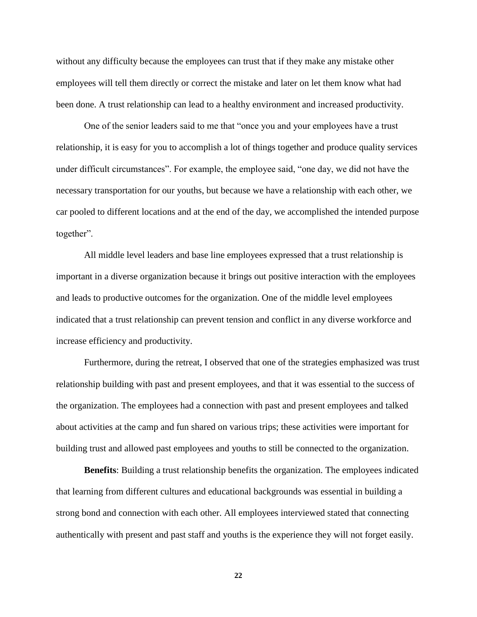without any difficulty because the employees can trust that if they make any mistake other employees will tell them directly or correct the mistake and later on let them know what had been done. A trust relationship can lead to a healthy environment and increased productivity.

One of the senior leaders said to me that "once you and your employees have a trust relationship, it is easy for you to accomplish a lot of things together and produce quality services under difficult circumstances". For example, the employee said, "one day, we did not have the necessary transportation for our youths, but because we have a relationship with each other, we car pooled to different locations and at the end of the day, we accomplished the intended purpose together".

All middle level leaders and base line employees expressed that a trust relationship is important in a diverse organization because it brings out positive interaction with the employees and leads to productive outcomes for the organization. One of the middle level employees indicated that a trust relationship can prevent tension and conflict in any diverse workforce and increase efficiency and productivity.

Furthermore, during the retreat, I observed that one of the strategies emphasized was trust relationship building with past and present employees, and that it was essential to the success of the organization. The employees had a connection with past and present employees and talked about activities at the camp and fun shared on various trips; these activities were important for building trust and allowed past employees and youths to still be connected to the organization.

**Benefits**: Building a trust relationship benefits the organization. The employees indicated that learning from different cultures and educational backgrounds was essential in building a strong bond and connection with each other. All employees interviewed stated that connecting authentically with present and past staff and youths is the experience they will not forget easily.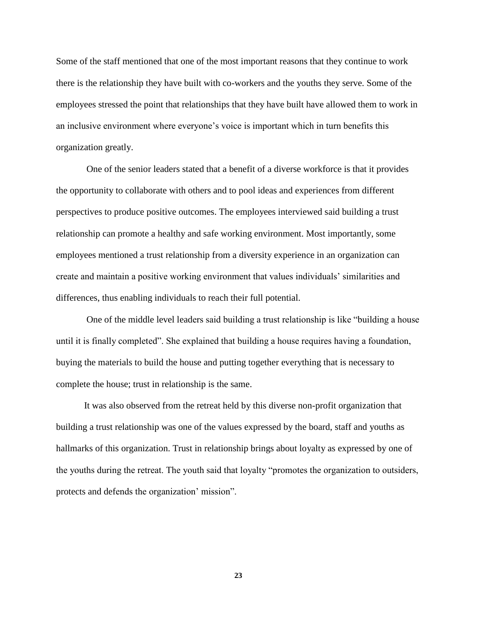Some of the staff mentioned that one of the most important reasons that they continue to work there is the relationship they have built with co-workers and the youths they serve. Some of the employees stressed the point that relationships that they have built have allowed them to work in an inclusive environment where everyone's voice is important which in turn benefits this organization greatly.

One of the senior leaders stated that a benefit of a diverse workforce is that it provides the opportunity to collaborate with others and to pool ideas and experiences from different perspectives to produce positive outcomes. The employees interviewed said building a trust relationship can promote a healthy and safe working environment. Most importantly, some employees mentioned a trust relationship from a diversity experience in an organization can create and maintain a positive working environment that values individuals' similarities and differences, thus enabling individuals to reach their full potential.

One of the middle level leaders said building a trust relationship is like "building a house until it is finally completed". She explained that building a house requires having a foundation, buying the materials to build the house and putting together everything that is necessary to complete the house; trust in relationship is the same.

It was also observed from the retreat held by this diverse non-profit organization that building a trust relationship was one of the values expressed by the board, staff and youths as hallmarks of this organization. Trust in relationship brings about loyalty as expressed by one of the youths during the retreat. The youth said that loyalty "promotes the organization to outsiders, protects and defends the organization' mission".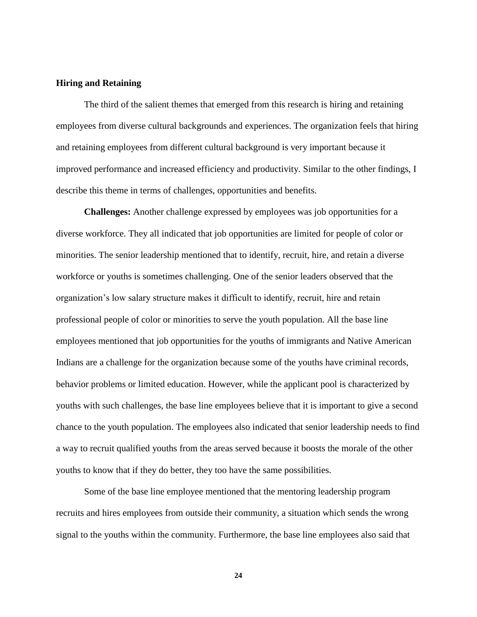#### **Hiring and Retaining**

The third of the salient themes that emerged from this research is hiring and retaining employees from diverse cultural backgrounds and experiences. The organization feels that hiring and retaining employees from different cultural background is very important because it improved performance and increased efficiency and productivity. Similar to the other findings, I describe this theme in terms of challenges, opportunities and benefits.

**Challenges:** Another challenge expressed by employees was job opportunities for a diverse workforce. They all indicated that job opportunities are limited for people of color or minorities. The senior leadership mentioned that to identify, recruit, hire, and retain a diverse workforce or youths is sometimes challenging. One of the senior leaders observed that the organization's low salary structure makes it difficult to identify, recruit, hire and retain professional people of color or minorities to serve the youth population. All the base line employees mentioned that job opportunities for the youths of immigrants and Native American Indians are a challenge for the organization because some of the youths have criminal records, behavior problems or limited education. However, while the applicant pool is characterized by youths with such challenges, the base line employees believe that it is important to give a second chance to the youth population. The employees also indicated that senior leadership needs to find a way to recruit qualified youths from the areas served because it boosts the morale of the other youths to know that if they do better, they too have the same possibilities.

Some of the base line employee mentioned that the mentoring leadership program recruits and hires employees from outside their community, a situation which sends the wrong signal to the youths within the community. Furthermore, the base line employees also said that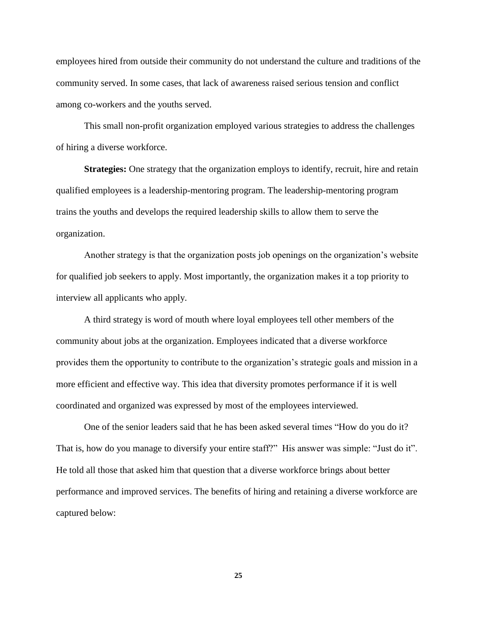employees hired from outside their community do not understand the culture and traditions of the community served. In some cases, that lack of awareness raised serious tension and conflict among co-workers and the youths served.

This small non-profit organization employed various strategies to address the challenges of hiring a diverse workforce.

**Strategies:** One strategy that the organization employs to identify, recruit, hire and retain qualified employees is a leadership-mentoring program. The leadership-mentoring program trains the youths and develops the required leadership skills to allow them to serve the organization.

Another strategy is that the organization posts job openings on the organization's website for qualified job seekers to apply. Most importantly, the organization makes it a top priority to interview all applicants who apply.

A third strategy is word of mouth where loyal employees tell other members of the community about jobs at the organization. Employees indicated that a diverse workforce provides them the opportunity to contribute to the organization's strategic goals and mission in a more efficient and effective way. This idea that diversity promotes performance if it is well coordinated and organized was expressed by most of the employees interviewed.

One of the senior leaders said that he has been asked several times "How do you do it? That is, how do you manage to diversify your entire staff?" His answer was simple: "Just do it". He told all those that asked him that question that a diverse workforce brings about better performance and improved services. The benefits of hiring and retaining a diverse workforce are captured below: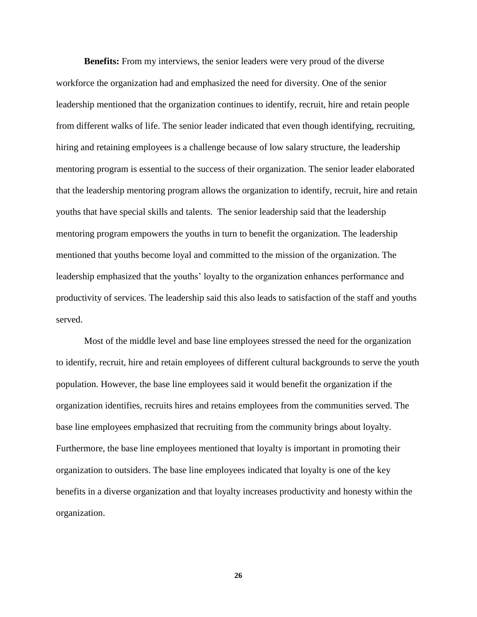**Benefits:** From my interviews, the senior leaders were very proud of the diverse workforce the organization had and emphasized the need for diversity. One of the senior leadership mentioned that the organization continues to identify, recruit, hire and retain people from different walks of life. The senior leader indicated that even though identifying, recruiting, hiring and retaining employees is a challenge because of low salary structure, the leadership mentoring program is essential to the success of their organization. The senior leader elaborated that the leadership mentoring program allows the organization to identify, recruit, hire and retain youths that have special skills and talents. The senior leadership said that the leadership mentoring program empowers the youths in turn to benefit the organization. The leadership mentioned that youths become loyal and committed to the mission of the organization. The leadership emphasized that the youths' loyalty to the organization enhances performance and productivity of services. The leadership said this also leads to satisfaction of the staff and youths served.

Most of the middle level and base line employees stressed the need for the organization to identify, recruit, hire and retain employees of different cultural backgrounds to serve the youth population. However, the base line employees said it would benefit the organization if the organization identifies, recruits hires and retains employees from the communities served. The base line employees emphasized that recruiting from the community brings about loyalty. Furthermore, the base line employees mentioned that loyalty is important in promoting their organization to outsiders. The base line employees indicated that loyalty is one of the key benefits in a diverse organization and that loyalty increases productivity and honesty within the organization.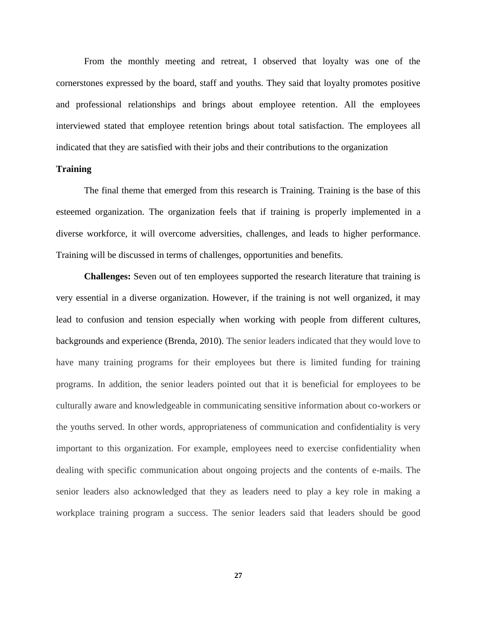From the monthly meeting and retreat, I observed that loyalty was one of the cornerstones expressed by the board, staff and youths. They said that loyalty promotes positive and professional relationships and brings about employee retention. All the employees interviewed stated that employee retention brings about total satisfaction. The employees all indicated that they are satisfied with their jobs and their contributions to the organization

#### **Training**

The final theme that emerged from this research is Training. Training is the base of this esteemed organization. The organization feels that if training is properly implemented in a diverse workforce, it will overcome adversities, challenges, and leads to higher performance. Training will be discussed in terms of challenges, opportunities and benefits.

**Challenges:** Seven out of ten employees supported the research literature that training is very essential in a diverse organization. However, if the training is not well organized, it may lead to confusion and tension especially when working with people from different cultures, backgrounds and experience (Brenda, 2010). The senior leaders indicated that they would love to have many training programs for their employees but there is limited funding for training programs. In addition, the senior leaders pointed out that it is beneficial for employees to be culturally aware and knowledgeable in communicating sensitive information about co-workers or the youths served. In other words, appropriateness of communication and confidentiality is very important to this organization. For example, employees need to exercise confidentiality when dealing with specific communication about ongoing projects and the contents of e-mails. The senior leaders also acknowledged that they as leaders need to play a key role in making a workplace training program a success. The senior leaders said that leaders should be good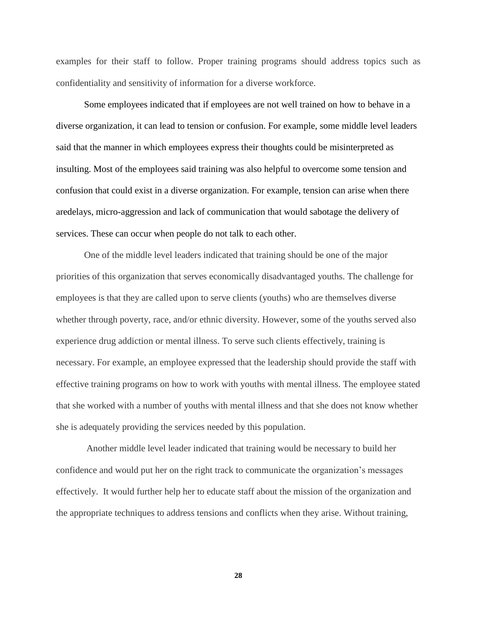examples for their staff to follow. Proper training programs should address topics such as confidentiality and sensitivity of information for a diverse workforce.

Some employees indicated that if employees are not well trained on how to behave in a diverse organization, it can lead to tension or confusion. For example, some middle level leaders said that the manner in which employees express their thoughts could be misinterpreted as insulting. Most of the employees said training was also helpful to overcome some tension and confusion that could exist in a diverse organization. For example, tension can arise when there aredelays, micro-aggression and lack of communication that would sabotage the delivery of services. These can occur when people do not talk to each other.

One of the middle level leaders indicated that training should be one of the major priorities of this organization that serves economically disadvantaged youths. The challenge for employees is that they are called upon to serve clients (youths) who are themselves diverse whether through poverty, race, and/or ethnic diversity. However, some of the youths served also experience drug addiction or mental illness. To serve such clients effectively, training is necessary. For example, an employee expressed that the leadership should provide the staff with effective training programs on how to work with youths with mental illness. The employee stated that she worked with a number of youths with mental illness and that she does not know whether she is adequately providing the services needed by this population.

Another middle level leader indicated that training would be necessary to build her confidence and would put her on the right track to communicate the organization's messages effectively. It would further help her to educate staff about the mission of the organization and the appropriate techniques to address tensions and conflicts when they arise. Without training,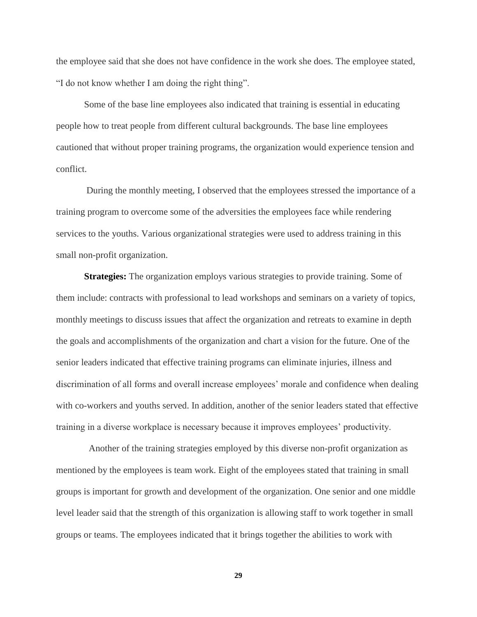the employee said that she does not have confidence in the work she does. The employee stated, "I do not know whether I am doing the right thing".

Some of the base line employees also indicated that training is essential in educating people how to treat people from different cultural backgrounds. The base line employees cautioned that without proper training programs, the organization would experience tension and conflict.

During the monthly meeting, I observed that the employees stressed the importance of a training program to overcome some of the adversities the employees face while rendering services to the youths. Various organizational strategies were used to address training in this small non-profit organization.

**Strategies:** The organization employs various strategies to provide training. Some of them include: contracts with professional to lead workshops and seminars on a variety of topics, monthly meetings to discuss issues that affect the organization and retreats to examine in depth the goals and accomplishments of the organization and chart a vision for the future. One of the senior leaders indicated that effective training programs can eliminate injuries, illness and discrimination of all forms and overall increase employees' morale and confidence when dealing with co-workers and youths served. In addition, another of the senior leaders stated that effective training in a diverse workplace is necessary because it improves employees' productivity.

 Another of the training strategies employed by this diverse non-profit organization as mentioned by the employees is team work. Eight of the employees stated that training in small groups is important for growth and development of the organization. One senior and one middle level leader said that the strength of this organization is allowing staff to work together in small groups or teams. The employees indicated that it brings together the abilities to work with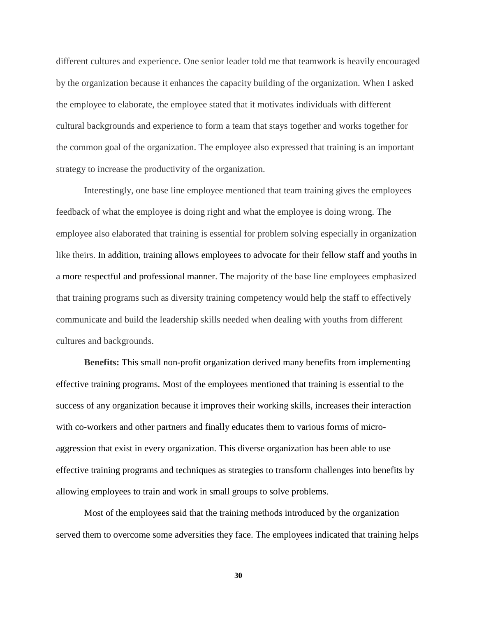different cultures and experience. One senior leader told me that teamwork is heavily encouraged by the organization because it enhances the capacity building of the organization. When I asked the employee to elaborate, the employee stated that it motivates individuals with different cultural backgrounds and experience to form a team that stays together and works together for the common goal of the organization. The employee also expressed that training is an important strategy to increase the productivity of the organization.

Interestingly, one base line employee mentioned that team training gives the employees feedback of what the employee is doing right and what the employee is doing wrong. The employee also elaborated that training is essential for problem solving especially in organization like theirs. In addition, training allows employees to advocate for their fellow staff and youths in a more respectful and professional manner. The majority of the base line employees emphasized that training programs such as diversity training competency would help the staff to effectively communicate and build the leadership skills needed when dealing with youths from different cultures and backgrounds.

**Benefits:** This small non-profit organization derived many benefits from implementing effective training programs. Most of the employees mentioned that training is essential to the success of any organization because it improves their working skills, increases their interaction with co-workers and other partners and finally educates them to various forms of microaggression that exist in every organization. This diverse organization has been able to use effective training programs and techniques as strategies to transform challenges into benefits by allowing employees to train and work in small groups to solve problems.

Most of the employees said that the training methods introduced by the organization served them to overcome some adversities they face. The employees indicated that training helps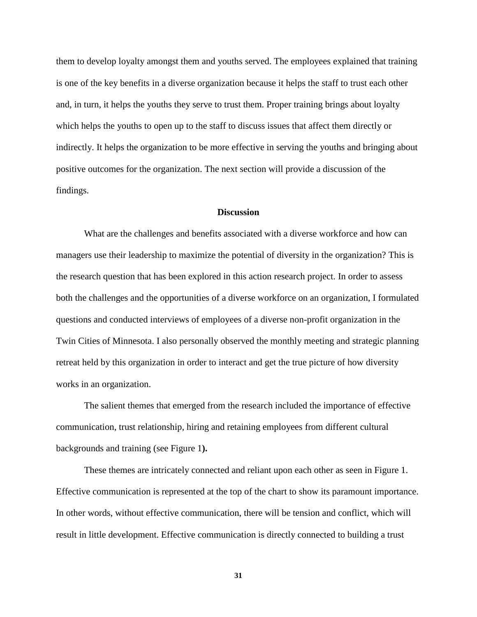them to develop loyalty amongst them and youths served. The employees explained that training is one of the key benefits in a diverse organization because it helps the staff to trust each other and, in turn, it helps the youths they serve to trust them. Proper training brings about loyalty which helps the youths to open up to the staff to discuss issues that affect them directly or indirectly. It helps the organization to be more effective in serving the youths and bringing about positive outcomes for the organization. The next section will provide a discussion of the findings.

#### **Discussion**

What are the challenges and benefits associated with a diverse workforce and how can managers use their leadership to maximize the potential of diversity in the organization? This is the research question that has been explored in this action research project. In order to assess both the challenges and the opportunities of a diverse workforce on an organization, I formulated questions and conducted interviews of employees of a diverse non-profit organization in the Twin Cities of Minnesota. I also personally observed the monthly meeting and strategic planning retreat held by this organization in order to interact and get the true picture of how diversity works in an organization.

The salient themes that emerged from the research included the importance of effective communication, trust relationship, hiring and retaining employees from different cultural backgrounds and training (see Figure 1**).**

These themes are intricately connected and reliant upon each other as seen in Figure 1. Effective communication is represented at the top of the chart to show its paramount importance. In other words, without effective communication, there will be tension and conflict, which will result in little development. Effective communication is directly connected to building a trust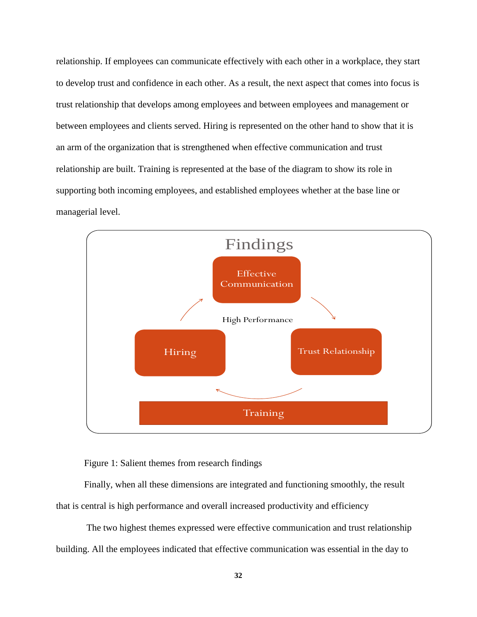relationship. If employees can communicate effectively with each other in a workplace, they start to develop trust and confidence in each other. As a result, the next aspect that comes into focus is trust relationship that develops among employees and between employees and management or between employees and clients served. Hiring is represented on the other hand to show that it is an arm of the organization that is strengthened when effective communication and trust relationship are built. Training is represented at the base of the diagram to show its role in supporting both incoming employees, and established employees whether at the base line or managerial level.



Figure 1: Salient themes from research findings

Finally, when all these dimensions are integrated and functioning smoothly, the result that is central is high performance and overall increased productivity and efficiency

The two highest themes expressed were effective communication and trust relationship building. All the employees indicated that effective communication was essential in the day to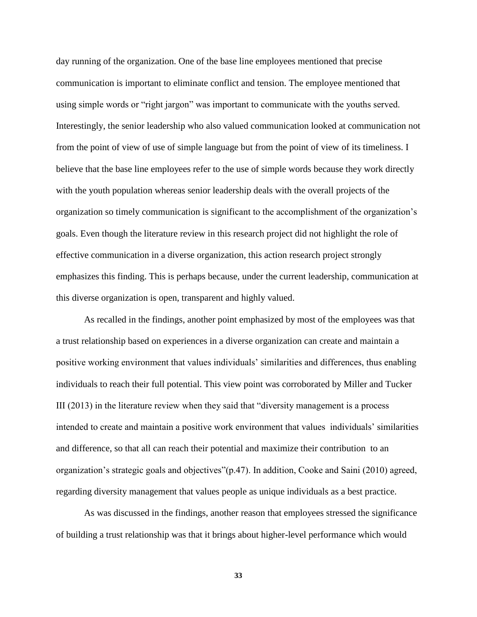day running of the organization. One of the base line employees mentioned that precise communication is important to eliminate conflict and tension. The employee mentioned that using simple words or "right jargon" was important to communicate with the youths served. Interestingly, the senior leadership who also valued communication looked at communication not from the point of view of use of simple language but from the point of view of its timeliness. I believe that the base line employees refer to the use of simple words because they work directly with the youth population whereas senior leadership deals with the overall projects of the organization so timely communication is significant to the accomplishment of the organization's goals. Even though the literature review in this research project did not highlight the role of effective communication in a diverse organization, this action research project strongly emphasizes this finding. This is perhaps because, under the current leadership, communication at this diverse organization is open, transparent and highly valued.

As recalled in the findings, another point emphasized by most of the employees was that a trust relationship based on experiences in a diverse organization can create and maintain a positive working environment that values individuals' similarities and differences, thus enabling individuals to reach their full potential. This view point was corroborated by Miller and Tucker III (2013) in the literature review when they said that "diversity management is a process intended to create and maintain a positive work environment that values individuals' similarities and difference, so that all can reach their potential and maximize their contribution to an organization's strategic goals and objectives"(p.47). In addition, Cooke and Saini (2010) agreed, regarding diversity management that values people as unique individuals as a best practice.

As was discussed in the findings, another reason that employees stressed the significance of building a trust relationship was that it brings about higher-level performance which would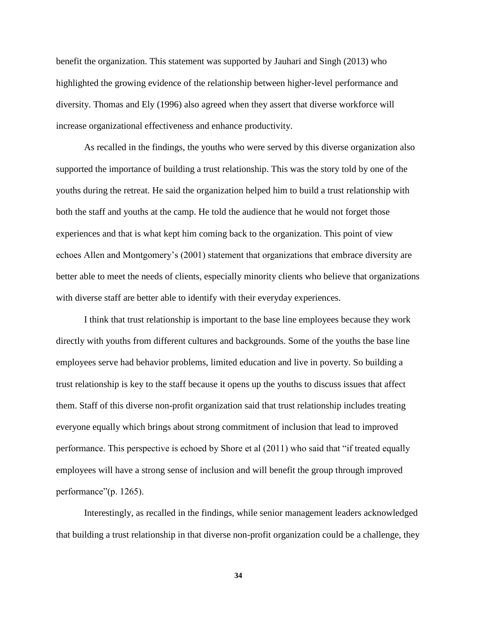benefit the organization. This statement was supported by Jauhari and Singh (2013) who highlighted the growing evidence of the relationship between higher-level performance and diversity. Thomas and Ely (1996) also agreed when they assert that diverse workforce will increase organizational effectiveness and enhance productivity.

As recalled in the findings, the youths who were served by this diverse organization also supported the importance of building a trust relationship. This was the story told by one of the youths during the retreat. He said the organization helped him to build a trust relationship with both the staff and youths at the camp. He told the audience that he would not forget those experiences and that is what kept him coming back to the organization. This point of view echoes Allen and Montgomery's (2001) statement that organizations that embrace diversity are better able to meet the needs of clients, especially minority clients who believe that organizations with diverse staff are better able to identify with their everyday experiences.

I think that trust relationship is important to the base line employees because they work directly with youths from different cultures and backgrounds. Some of the youths the base line employees serve had behavior problems, limited education and live in poverty. So building a trust relationship is key to the staff because it opens up the youths to discuss issues that affect them. Staff of this diverse non-profit organization said that trust relationship includes treating everyone equally which brings about strong commitment of inclusion that lead to improved performance. This perspective is echoed by Shore et al (2011) who said that "if treated equally employees will have a strong sense of inclusion and will benefit the group through improved performance"(p. 1265).

Interestingly, as recalled in the findings, while senior management leaders acknowledged that building a trust relationship in that diverse non-profit organization could be a challenge, they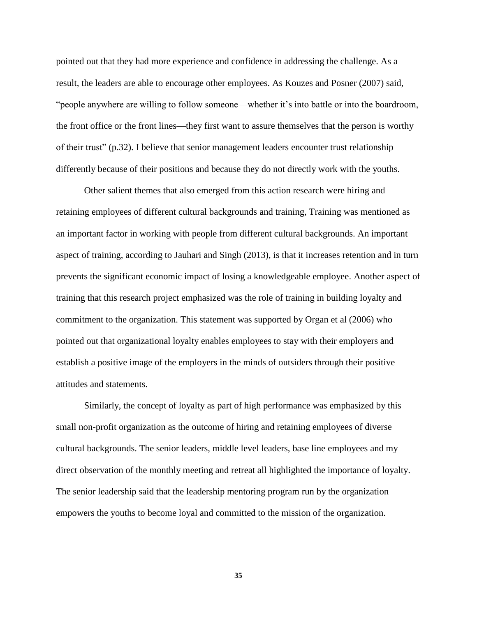pointed out that they had more experience and confidence in addressing the challenge. As a result, the leaders are able to encourage other employees. As Kouzes and Posner (2007) said, "people anywhere are willing to follow someone—whether it's into battle or into the boardroom, the front office or the front lines—they first want to assure themselves that the person is worthy of their trust" (p.32). I believe that senior management leaders encounter trust relationship differently because of their positions and because they do not directly work with the youths.

Other salient themes that also emerged from this action research were hiring and retaining employees of different cultural backgrounds and training, Training was mentioned as an important factor in working with people from different cultural backgrounds. An important aspect of training, according to Jauhari and Singh (2013), is that it increases retention and in turn prevents the significant economic impact of losing a knowledgeable employee. Another aspect of training that this research project emphasized was the role of training in building loyalty and commitment to the organization. This statement was supported by Organ et al (2006) who pointed out that organizational loyalty enables employees to stay with their employers and establish a positive image of the employers in the minds of outsiders through their positive attitudes and statements.

Similarly, the concept of loyalty as part of high performance was emphasized by this small non-profit organization as the outcome of hiring and retaining employees of diverse cultural backgrounds. The senior leaders, middle level leaders, base line employees and my direct observation of the monthly meeting and retreat all highlighted the importance of loyalty. The senior leadership said that the leadership mentoring program run by the organization empowers the youths to become loyal and committed to the mission of the organization.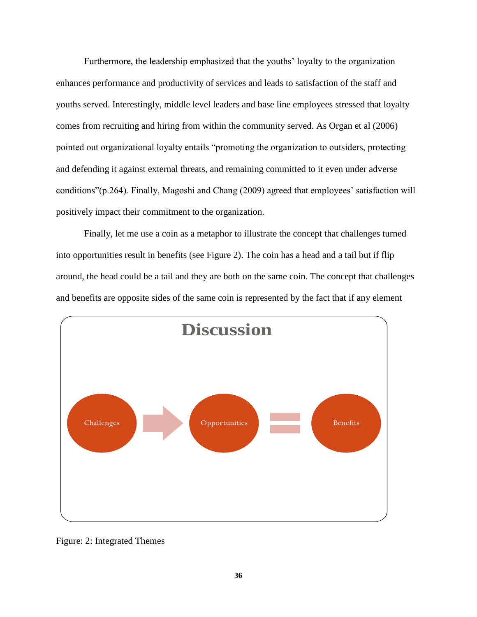Furthermore, the leadership emphasized that the youths' loyalty to the organization enhances performance and productivity of services and leads to satisfaction of the staff and youths served. Interestingly, middle level leaders and base line employees stressed that loyalty comes from recruiting and hiring from within the community served. As Organ et al (2006) pointed out organizational loyalty entails "promoting the organization to outsiders, protecting and defending it against external threats, and remaining committed to it even under adverse conditions"(p.264). Finally, Magoshi and Chang (2009) agreed that employees' satisfaction will positively impact their commitment to the organization.

Finally, let me use a coin as a metaphor to illustrate the concept that challenges turned into opportunities result in benefits (see Figure 2). The coin has a head and a tail but if flip around, the head could be a tail and they are both on the same coin. The concept that challenges and benefits are opposite sides of the same coin is represented by the fact that if any element



Figure: 2: Integrated Themes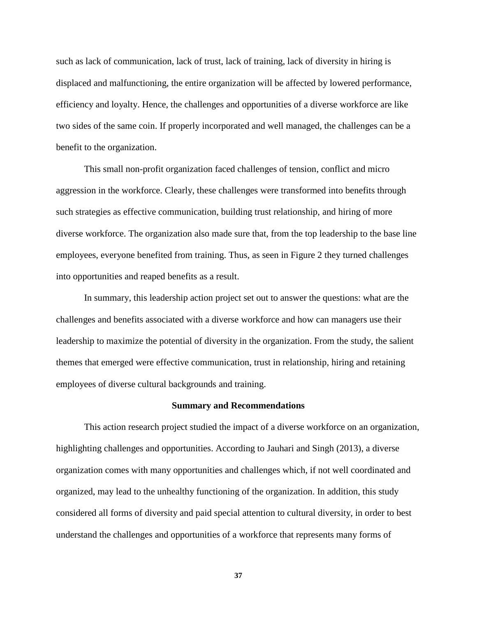such as lack of communication, lack of trust, lack of training, lack of diversity in hiring is displaced and malfunctioning, the entire organization will be affected by lowered performance, efficiency and loyalty. Hence, the challenges and opportunities of a diverse workforce are like two sides of the same coin. If properly incorporated and well managed, the challenges can be a benefit to the organization.

This small non-profit organization faced challenges of tension, conflict and micro aggression in the workforce. Clearly, these challenges were transformed into benefits through such strategies as effective communication, building trust relationship, and hiring of more diverse workforce. The organization also made sure that, from the top leadership to the base line employees, everyone benefited from training. Thus, as seen in Figure 2 they turned challenges into opportunities and reaped benefits as a result.

In summary, this leadership action project set out to answer the questions: what are the challenges and benefits associated with a diverse workforce and how can managers use their leadership to maximize the potential of diversity in the organization. From the study, the salient themes that emerged were effective communication, trust in relationship, hiring and retaining employees of diverse cultural backgrounds and training.

#### **Summary and Recommendations**

This action research project studied the impact of a diverse workforce on an organization, highlighting challenges and opportunities. According to Jauhari and Singh (2013), a diverse organization comes with many opportunities and challenges which, if not well coordinated and organized, may lead to the unhealthy functioning of the organization. In addition, this study considered all forms of diversity and paid special attention to cultural diversity, in order to best understand the challenges and opportunities of a workforce that represents many forms of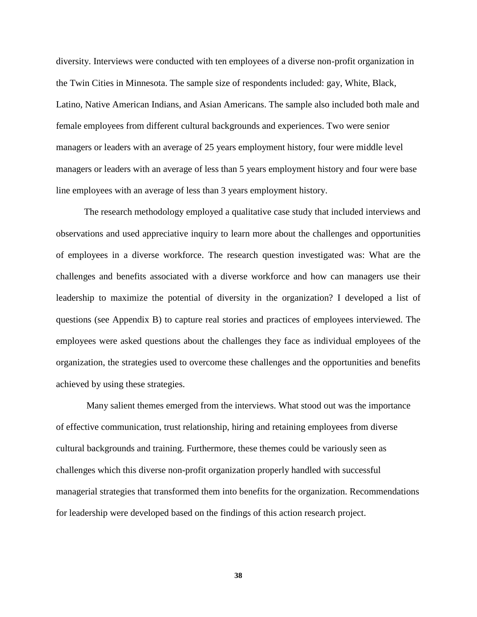diversity. Interviews were conducted with ten employees of a diverse non-profit organization in the Twin Cities in Minnesota. The sample size of respondents included: gay, White, Black, Latino, Native American Indians, and Asian Americans. The sample also included both male and female employees from different cultural backgrounds and experiences. Two were senior managers or leaders with an average of 25 years employment history, four were middle level managers or leaders with an average of less than 5 years employment history and four were base line employees with an average of less than 3 years employment history.

The research methodology employed a qualitative case study that included interviews and observations and used appreciative inquiry to learn more about the challenges and opportunities of employees in a diverse workforce. The research question investigated was: What are the challenges and benefits associated with a diverse workforce and how can managers use their leadership to maximize the potential of diversity in the organization? I developed a list of questions (see Appendix B) to capture real stories and practices of employees interviewed. The employees were asked questions about the challenges they face as individual employees of the organization, the strategies used to overcome these challenges and the opportunities and benefits achieved by using these strategies.

Many salient themes emerged from the interviews. What stood out was the importance of effective communication, trust relationship, hiring and retaining employees from diverse cultural backgrounds and training. Furthermore, these themes could be variously seen as challenges which this diverse non-profit organization properly handled with successful managerial strategies that transformed them into benefits for the organization. Recommendations for leadership were developed based on the findings of this action research project.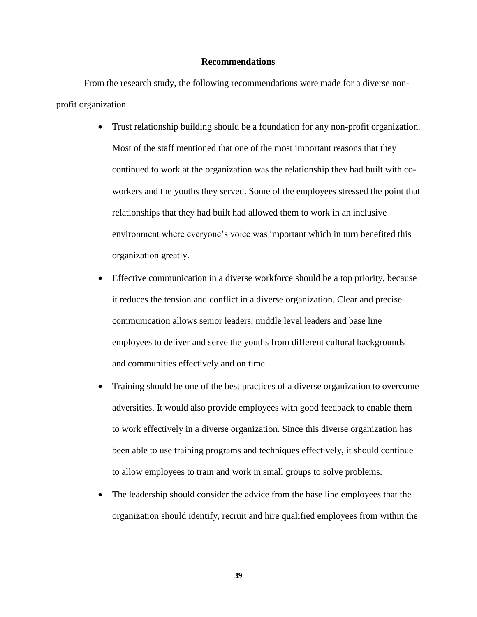#### **Recommendations**

From the research study, the following recommendations were made for a diverse nonprofit organization.

- Trust relationship building should be a foundation for any non-profit organization. Most of the staff mentioned that one of the most important reasons that they continued to work at the organization was the relationship they had built with coworkers and the youths they served. Some of the employees stressed the point that relationships that they had built had allowed them to work in an inclusive environment where everyone's voice was important which in turn benefited this organization greatly.
- Effective communication in a diverse workforce should be a top priority, because it reduces the tension and conflict in a diverse organization. Clear and precise communication allows senior leaders, middle level leaders and base line employees to deliver and serve the youths from different cultural backgrounds and communities effectively and on time.
- Training should be one of the best practices of a diverse organization to overcome adversities. It would also provide employees with good feedback to enable them to work effectively in a diverse organization. Since this diverse organization has been able to use training programs and techniques effectively, it should continue to allow employees to train and work in small groups to solve problems.
- The leadership should consider the advice from the base line employees that the organization should identify, recruit and hire qualified employees from within the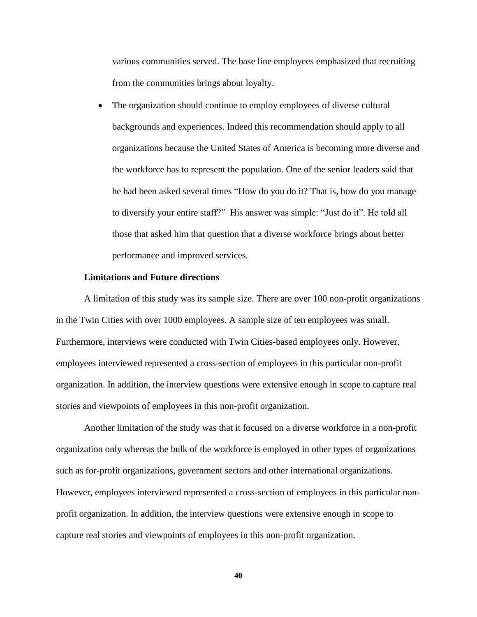various communities served. The base line employees emphasized that recruiting from the communities brings about loyalty.

 The organization should continue to employ employees of diverse cultural backgrounds and experiences. Indeed this recommendation should apply to all organizations because the United States of America is becoming more diverse and the workforce has to represent the population. One of the senior leaders said that he had been asked several times "How do you do it? That is, how do you manage to diversify your entire staff?" His answer was simple: "Just do it". He told all those that asked him that question that a diverse workforce brings about better performance and improved services.

#### **Limitations and Future directions**

A limitation of this study was its sample size. There are over 100 non-profit organizations in the Twin Cities with over 1000 employees. A sample size of ten employees was small. Furthermore, interviews were conducted with Twin Cities-based employees only. However, employees interviewed represented a cross-section of employees in this particular non-profit organization. In addition, the interview questions were extensive enough in scope to capture real stories and viewpoints of employees in this non-profit organization.

Another limitation of the study was that it focused on a diverse workforce in a non-profit organization only whereas the bulk of the workforce is employed in other types of organizations such as for-profit organizations, government sectors and other international organizations. However, employees interviewed represented a cross-section of employees in this particular nonprofit organization. In addition, the interview questions were extensive enough in scope to capture real stories and viewpoints of employees in this non-profit organization.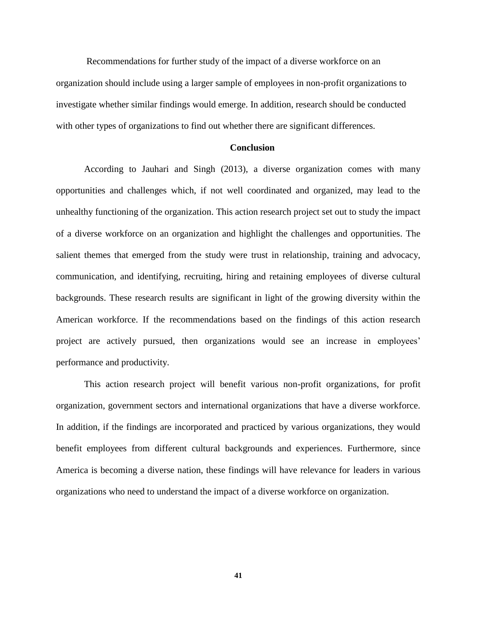Recommendations for further study of the impact of a diverse workforce on an organization should include using a larger sample of employees in non-profit organizations to investigate whether similar findings would emerge. In addition, research should be conducted with other types of organizations to find out whether there are significant differences.

#### **Conclusion**

According to Jauhari and Singh (2013), a diverse organization comes with many opportunities and challenges which, if not well coordinated and organized, may lead to the unhealthy functioning of the organization. This action research project set out to study the impact of a diverse workforce on an organization and highlight the challenges and opportunities. The salient themes that emerged from the study were trust in relationship, training and advocacy, communication, and identifying, recruiting, hiring and retaining employees of diverse cultural backgrounds. These research results are significant in light of the growing diversity within the American workforce. If the recommendations based on the findings of this action research project are actively pursued, then organizations would see an increase in employees' performance and productivity.

This action research project will benefit various non-profit organizations, for profit organization, government sectors and international organizations that have a diverse workforce. In addition, if the findings are incorporated and practiced by various organizations, they would benefit employees from different cultural backgrounds and experiences. Furthermore, since America is becoming a diverse nation, these findings will have relevance for leaders in various organizations who need to understand the impact of a diverse workforce on organization.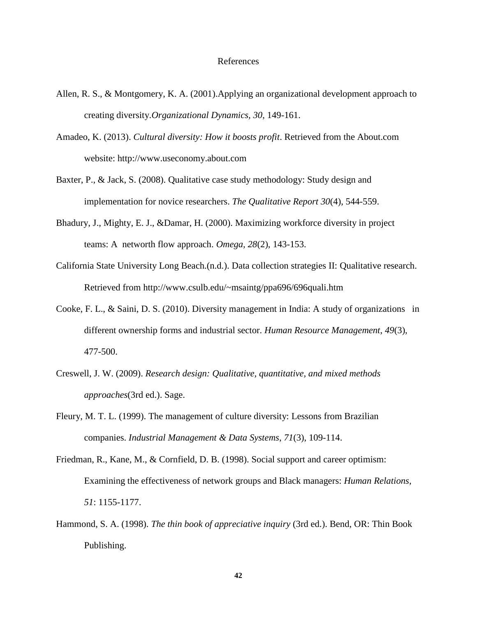#### References

- Allen, R. S., & Montgomery, K. A. (2001).Applying an organizational development approach to creating diversity.*Organizational Dynamics, 30*, 149-161.
- Amadeo, K. (2013). *Cultural diversity: How it boosts profit*. Retrieved from the About.com website: http://www.useconomy.about.com
- Baxter, P., & Jack, S. (2008). Qualitative case study methodology: Study design and implementation for novice researchers. *The Qualitative Report 30*(4), 544-559.
- Bhadury, J., Mighty, E. J., &Damar, H. (2000). Maximizing workforce diversity in project teams: A networth flow approach. *Omega, 28*(2), 143-153.
- California State University Long Beach.(n.d.). Data collection strategies II: Qualitative research. Retrieved from http://www.csulb.edu/~msaintg/ppa696/696quali.htm
- Cooke, F. L., & Saini, D. S. (2010). Diversity management in India: A study of organizations in different ownership forms and industrial sector. *Human Resource Management*, *49*(3), 477-500.
- Creswell, J. W. (2009). *Research design: Qualitative, quantitative, and mixed methods approaches*(3rd ed.). Sage.
- Fleury, M. T. L. (1999). The management of culture diversity: Lessons from Brazilian companies. *Industrial Management & Data Systems*, *71*(3), 109-114.
- Friedman, R., Kane, M., & Cornfield, D. B. (1998). Social support and career optimism: Examining the effectiveness of network groups and Black managers: *Human Relations, 51*: 1155-1177.
- Hammond, S. A. (1998). *The thin book of appreciative inquiry* (3rd ed.). Bend, OR: Thin Book Publishing.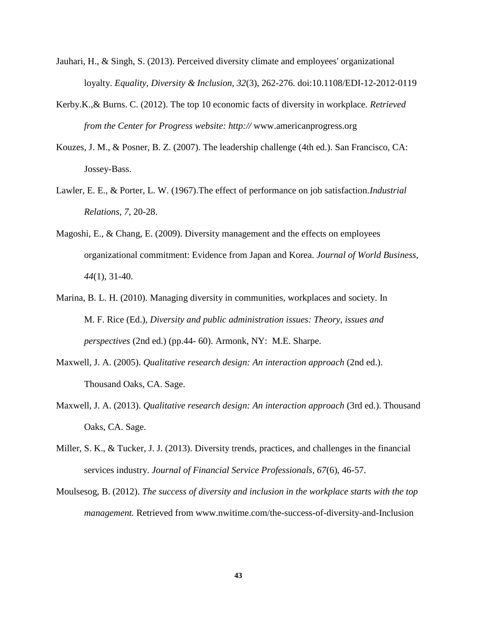- Jauhari, H., & Singh, S. (2013). Perceived diversity climate and employees' organizational loyalty. *Equality, Diversity & Inclusion, 32*(3), 262-276. doi:10.1108/EDI-12-2012-0119
- Kerby.K.,& Burns. C. (2012). The top 10 economic facts of diversity in workplace. *Retrieved from the Center for Progress website: http://* www.americanprogress.org
- Kouzes, J. M., & Posner, B. Z. (2007). The leadership challenge (4th ed.). San Francisco, CA: Jossey-Bass.
- Lawler, E. E., & Porter, L. W. (1967).The effect of performance on job satisfaction.*Industrial Relations, 7*, 20-28.
- Magoshi, E., & Chang, E. (2009). Diversity management and the effects on employees organizational commitment: Evidence from Japan and Korea. *Journal of World Business, 44*(1), 31-40.
- Marina, B. L. H. (2010). Managing diversity in communities, workplaces and society. In M. F. Rice (Ed.), *Diversity and public administration issues: Theory, issues and perspectives* (2nd ed.) (pp.44- 60). Armonk, NY: M.E. Sharpe.
- Maxwell, J. A. (2005). *Qualitative research design: An interaction approach* (2nd ed.). Thousand Oaks, CA. Sage.
- Maxwell, J. A. (2013). *Qualitative research design: An interaction approach* (3rd ed.). Thousand Oaks, CA. Sage.
- Miller, S. K., & Tucker, J. J. (2013). Diversity trends, practices, and challenges in the financial services industry. *Journal of Financial Service Professionals, 67*(6), 46-57.
- Moulsesog, B. (2012). *The success of diversity and inclusion in the workplace starts with the top management.* Retrieved from www.nwitime.com/the-success-of-diversity-and-Inclusion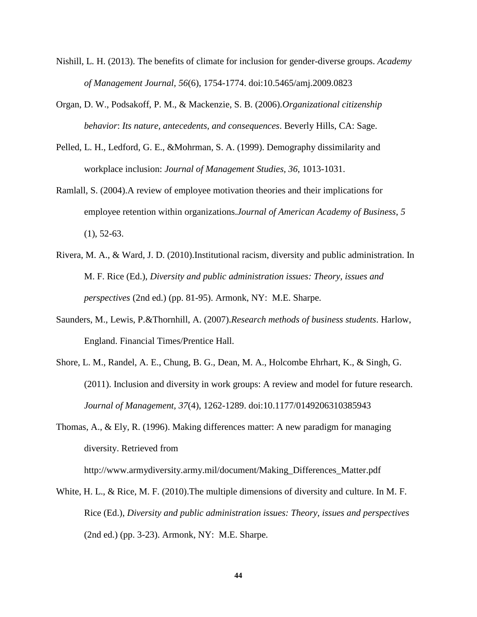- Nishill, L. H. (2013). The benefits of climate for inclusion for gender-diverse groups. *Academy of Management Journal, 56*(6), 1754-1774. doi:10.5465/amj.2009.0823
- Organ, D. W., Podsakoff, P. M., & Mackenzie, S. B. (2006).*Organizational citizenship behavior*: *Its nature, antecedents, and consequences*. Beverly Hills, CA: Sage.
- Pelled, L. H., Ledford, G. E., &Mohrman, S. A. (1999). Demography dissimilarity and workplace inclusion: *Journal of Management Studies, 36*, 1013-1031.
- Ramlall, S. (2004).A review of employee motivation theories and their implications for employee retention within organizations.*Journal of American Academy of Business*, *5*  $(1), 52-63.$
- Rivera, M. A., & Ward, J. D. (2010).Institutional racism, diversity and public administration. In M. F. Rice (Ed.), *Diversity and public administration issues: Theory, issues and perspectives* (2nd ed.) (pp. 81-95). Armonk, NY: M.E. Sharpe.
- Saunders, M., Lewis, P.&Thornhill, A. (2007).*Research methods of business students*. Harlow, England. Financial Times/Prentice Hall.
- Shore, L. M., Randel, A. E., Chung, B. G., Dean, M. A., Holcombe Ehrhart, K., & Singh, G. (2011). Inclusion and diversity in work groups: A review and model for future research. *Journal of Management, 37*(4), 1262-1289. doi:10.1177/0149206310385943
- Thomas, A., & Ely, R. (1996). Making differences matter: A new paradigm for managing diversity. Retrieved from

http://www.armydiversity.army.mil/document/Making\_Differences\_Matter.pdf

White, H. L., & Rice, M. F. (2010).The multiple dimensions of diversity and culture. In M. F. Rice (Ed.), *Diversity and public administration issues: Theory, issues and perspectives* (2nd ed.) (pp. 3-23). Armonk, NY: M.E. Sharpe.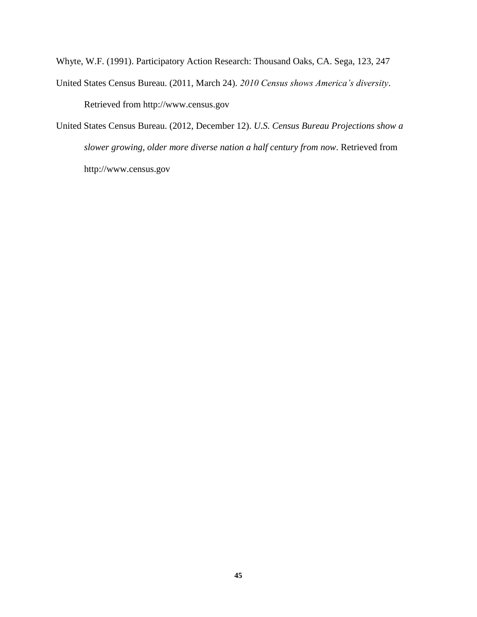Whyte, W.F. (1991). Participatory Action Research: Thousand Oaks, CA. Sega, 123, 247

- United States Census Bureau. (2011, March 24). *2010 Census shows America's diversity*. Retrieved from http://www.census.gov
- United States Census Bureau. (2012, December 12). *U.S. Census Bureau Projections show a slower growing, older more diverse nation a half century from now*. Retrieved from http://www.census.gov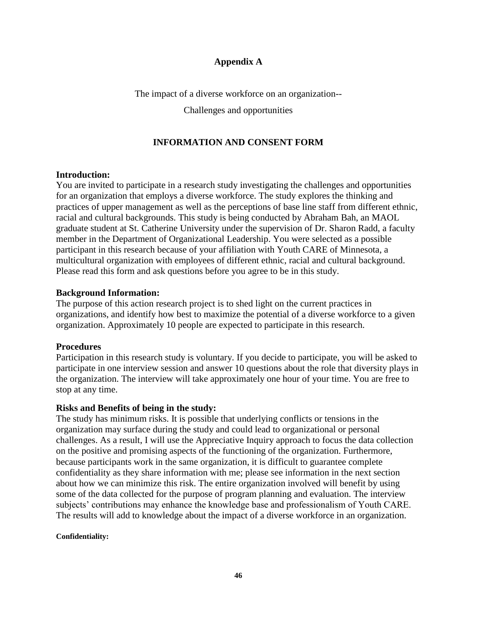#### **Appendix A**

The impact of a diverse workforce on an organization--

Challenges and opportunities

## **INFORMATION AND CONSENT FORM**

#### **Introduction:**

You are invited to participate in a research study investigating the challenges and opportunities for an organization that employs a diverse workforce. The study explores the thinking and practices of upper management as well as the perceptions of base line staff from different ethnic, racial and cultural backgrounds. This study is being conducted by Abraham Bah, an MAOL graduate student at St. Catherine University under the supervision of Dr. Sharon Radd, a faculty member in the Department of Organizational Leadership. You were selected as a possible participant in this research because of your affiliation with Youth CARE of Minnesota, a multicultural organization with employees of different ethnic, racial and cultural background. Please read this form and ask questions before you agree to be in this study.

#### **Background Information:**

The purpose of this action research project is to shed light on the current practices in organizations, and identify how best to maximize the potential of a diverse workforce to a given organization. Approximately 10 people are expected to participate in this research.

#### **Procedures**

Participation in this research study is voluntary. If you decide to participate, you will be asked to participate in one interview session and answer 10 questions about the role that diversity plays in the organization. The interview will take approximately one hour of your time. You are free to stop at any time.

#### **Risks and Benefits of being in the study:**

The study has minimum risks. It is possible that underlying conflicts or tensions in the organization may surface during the study and could lead to organizational or personal challenges. As a result, I will use the Appreciative Inquiry approach to focus the data collection on the positive and promising aspects of the functioning of the organization. Furthermore, because participants work in the same organization, it is difficult to guarantee complete confidentiality as they share information with me; please see information in the next section about how we can minimize this risk. The entire organization involved will benefit by using some of the data collected for the purpose of program planning and evaluation. The interview subjects' contributions may enhance the knowledge base and professionalism of Youth CARE. The results will add to knowledge about the impact of a diverse workforce in an organization.

#### **Confidentiality:**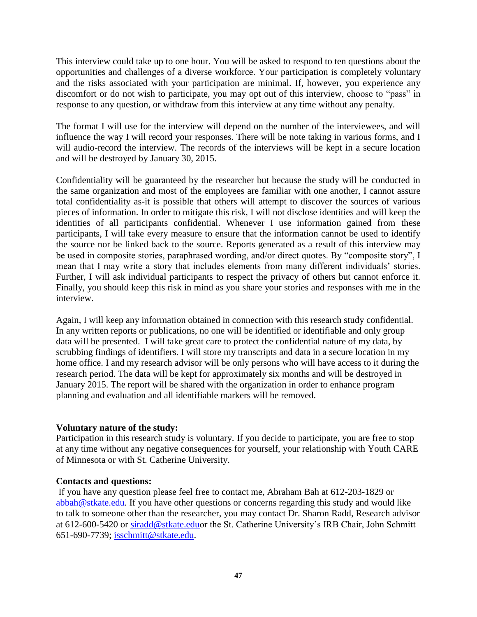This interview could take up to one hour. You will be asked to respond to ten questions about the opportunities and challenges of a diverse workforce. Your participation is completely voluntary and the risks associated with your participation are minimal. If, however, you experience any discomfort or do not wish to participate, you may opt out of this interview, choose to "pass" in response to any question, or withdraw from this interview at any time without any penalty.

The format I will use for the interview will depend on the number of the interviewees, and will influence the way I will record your responses. There will be note taking in various forms, and I will audio-record the interview. The records of the interviews will be kept in a secure location and will be destroyed by January 30, 2015.

Confidentiality will be guaranteed by the researcher but because the study will be conducted in the same organization and most of the employees are familiar with one another, I cannot assure total confidentiality as-it is possible that others will attempt to discover the sources of various pieces of information. In order to mitigate this risk, I will not disclose identities and will keep the identities of all participants confidential. Whenever I use information gained from these participants, I will take every measure to ensure that the information cannot be used to identify the source nor be linked back to the source. Reports generated as a result of this interview may be used in composite stories, paraphrased wording, and/or direct quotes. By "composite story", I mean that I may write a story that includes elements from many different individuals' stories. Further, I will ask individual participants to respect the privacy of others but cannot enforce it. Finally, you should keep this risk in mind as you share your stories and responses with me in the interview.

Again, I will keep any information obtained in connection with this research study confidential. In any written reports or publications, no one will be identified or identifiable and only group data will be presented. I will take great care to protect the confidential nature of my data, by scrubbing findings of identifiers. I will store my transcripts and data in a secure location in my home office. I and my research advisor will be only persons who will have access to it during the research period. The data will be kept for approximately six months and will be destroyed in January 2015. The report will be shared with the organization in order to enhance program planning and evaluation and all identifiable markers will be removed.

#### **Voluntary nature of the study:**

Participation in this research study is voluntary. If you decide to participate, you are free to stop at any time without any negative consequences for yourself, your relationship with Youth CARE of Minnesota or with St. Catherine University.

#### **Contacts and questions:**

If you have any question please feel free to contact me, Abraham Bah at 612-203-1829 or [abbah@stkate.edu.](mailto:abbah@stkate.edu) If you have other questions or concerns regarding this study and would like to talk to someone other than the researcher, you may contact Dr. Sharon Radd, Research advisor at 612-600-5420 or [siradd@stkate.eduo](mailto:siradd@stkate.edu)r the St. Catherine University's IRB Chair, John Schmitt 651-690-7739; [isschmitt@stkate.edu.](mailto:isschmitt@stkate.edu)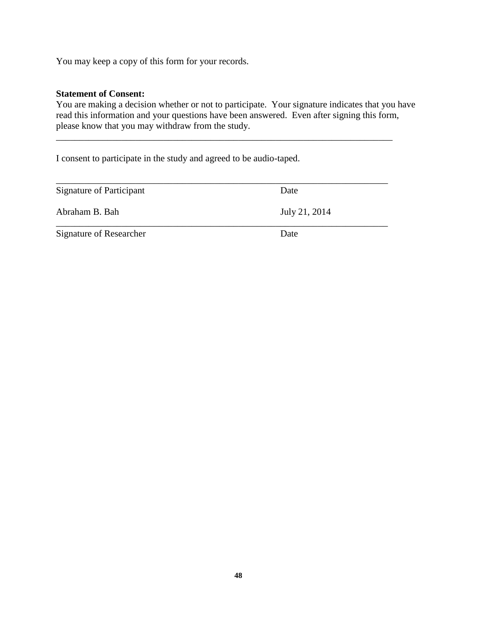You may keep a copy of this form for your records.

#### **Statement of Consent:**

You are making a decision whether or not to participate. Your signature indicates that you have read this information and your questions have been answered. Even after signing this form, please know that you may withdraw from the study.

\_\_\_\_\_\_\_\_\_\_\_\_\_\_\_\_\_\_\_\_\_\_\_\_\_\_\_\_\_\_\_\_\_\_\_\_\_\_\_\_\_\_\_\_\_\_\_\_\_\_\_\_\_\_\_\_\_\_\_\_\_\_\_\_\_\_\_\_\_\_\_\_

I consent to participate in the study and agreed to be audio-taped.

| Signature of Participant | Date          |
|--------------------------|---------------|
| Abraham B. Bah           | July 21, 2014 |
| Signature of Researcher  | Date          |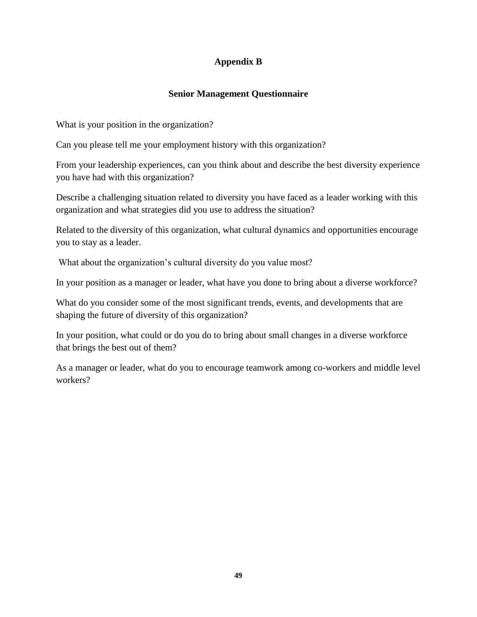## **Appendix B**

## **Senior Management Questionnaire**

What is your position in the organization?

Can you please tell me your employment history with this organization?

From your leadership experiences, can you think about and describe the best diversity experience you have had with this organization?

Describe a challenging situation related to diversity you have faced as a leader working with this organization and what strategies did you use to address the situation?

Related to the diversity of this organization, what cultural dynamics and opportunities encourage you to stay as a leader.

What about the organization's cultural diversity do you value most?

In your position as a manager or leader, what have you done to bring about a diverse workforce?

What do you consider some of the most significant trends, events, and developments that are shaping the future of diversity of this organization?

In your position, what could or do you do to bring about small changes in a diverse workforce that brings the best out of them?

As a manager or leader, what do you to encourage teamwork among co-workers and middle level workers?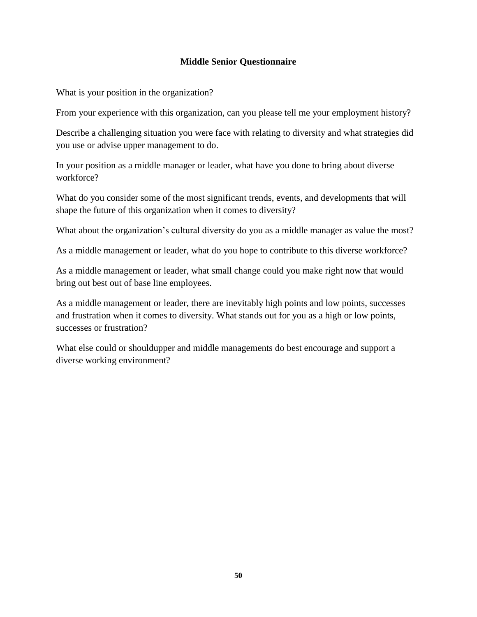## **Middle Senior Questionnaire**

What is your position in the organization?

From your experience with this organization, can you please tell me your employment history?

Describe a challenging situation you were face with relating to diversity and what strategies did you use or advise upper management to do.

In your position as a middle manager or leader, what have you done to bring about diverse workforce?

What do you consider some of the most significant trends, events, and developments that will shape the future of this organization when it comes to diversity?

What about the organization's cultural diversity do you as a middle manager as value the most?

As a middle management or leader, what do you hope to contribute to this diverse workforce?

As a middle management or leader, what small change could you make right now that would bring out best out of base line employees.

As a middle management or leader, there are inevitably high points and low points, successes and frustration when it comes to diversity. What stands out for you as a high or low points, successes or frustration?

What else could or shouldupper and middle managements do best encourage and support a diverse working environment?